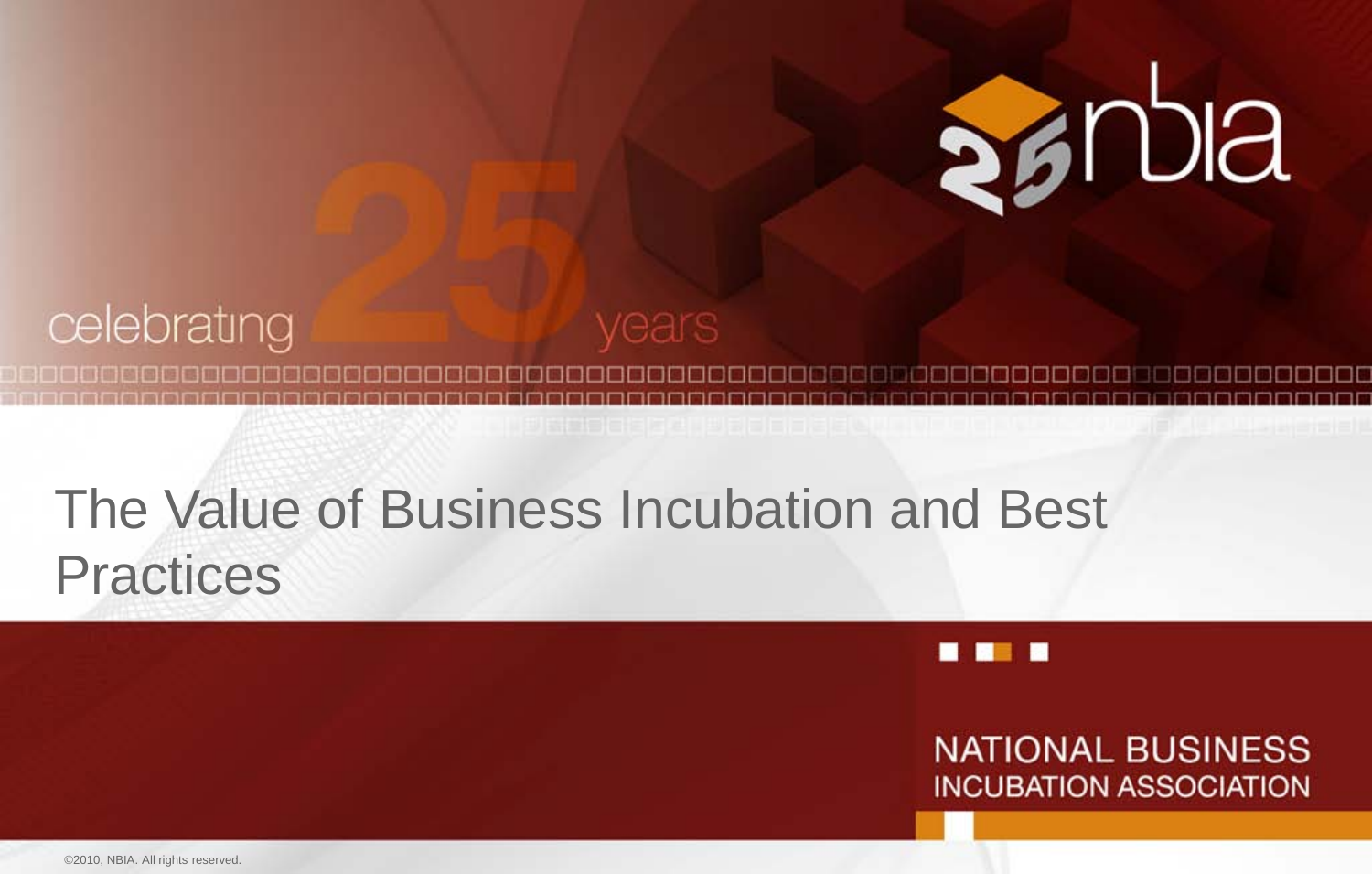

#### celebrating /ears

# The Value of Business Incubation and Best **Practices**



**NATIONAL BUSINESS INCUBATION ASSOCIATION**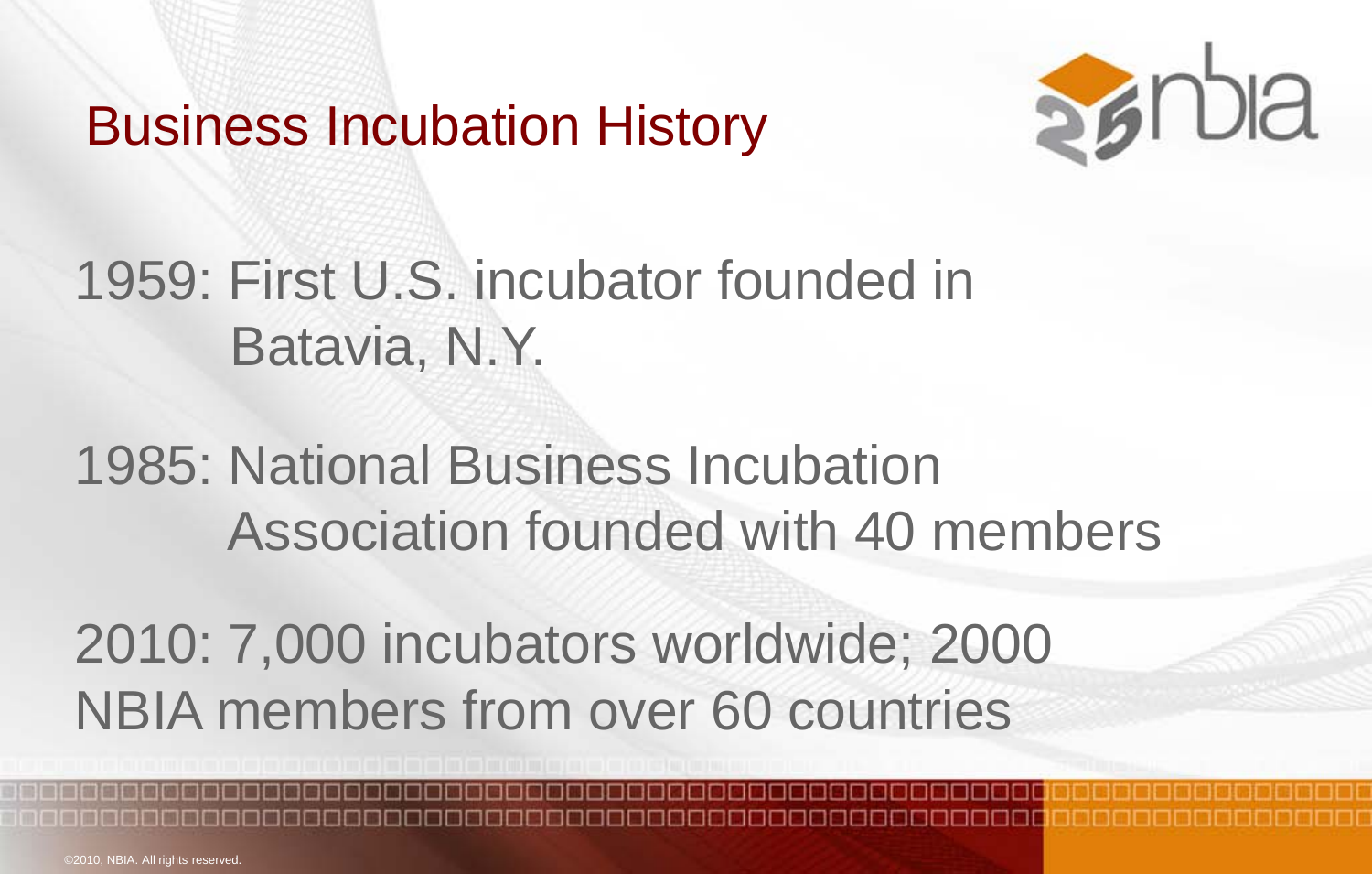## Business Incubation History



# 1959: First U.S. incubator founded in Batavia, N.Y.

1985: National Business Incubation Association founded with 40 members

2010: 7,000 incubators worldwide; 2000 NBIA members from over 60 countries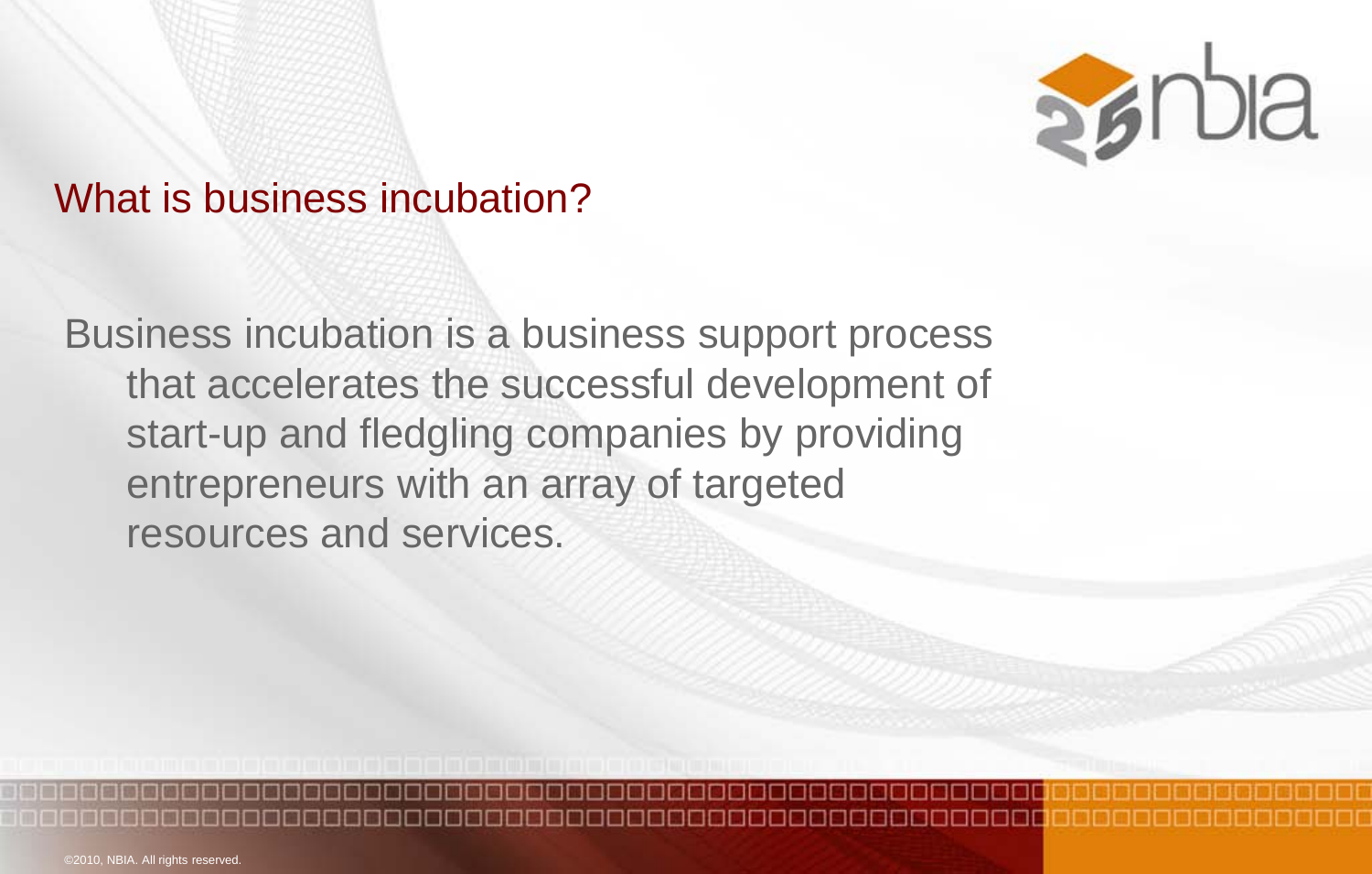

#### What is business incubation?

Business incubation is a business support process that accelerates the successful development of start-up and fledgling companies by providing entrepreneurs with an array of targeted resources and services.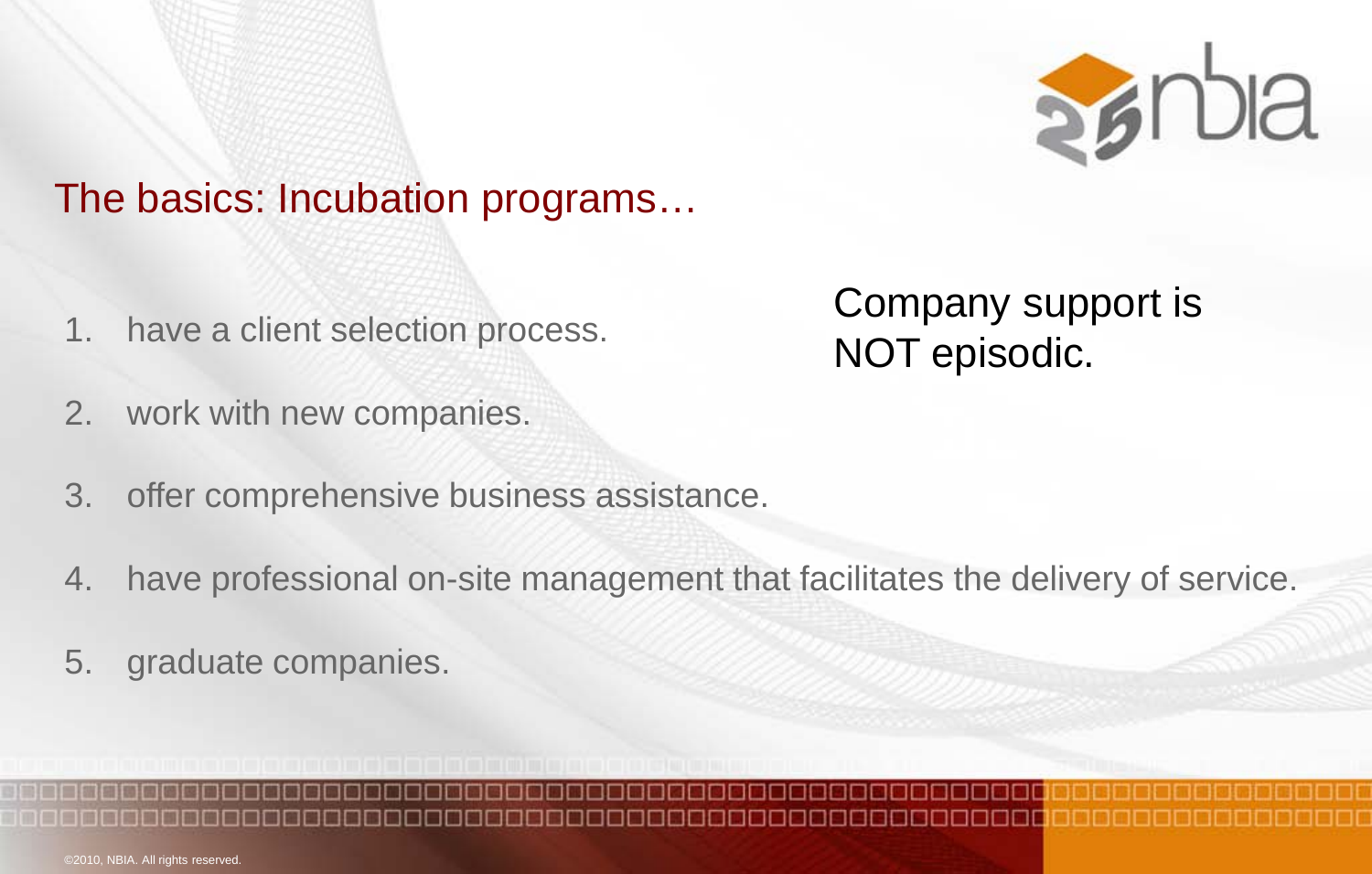

#### The basics: Incubation programs…

1. have a client selection process.

#### 2. work with new companies.

- 3. offer comprehensive business assistance.
- 4. have professional on-site management that facilitates the delivery of service.
- 5. graduate companies.

## Company support is NOT episodic.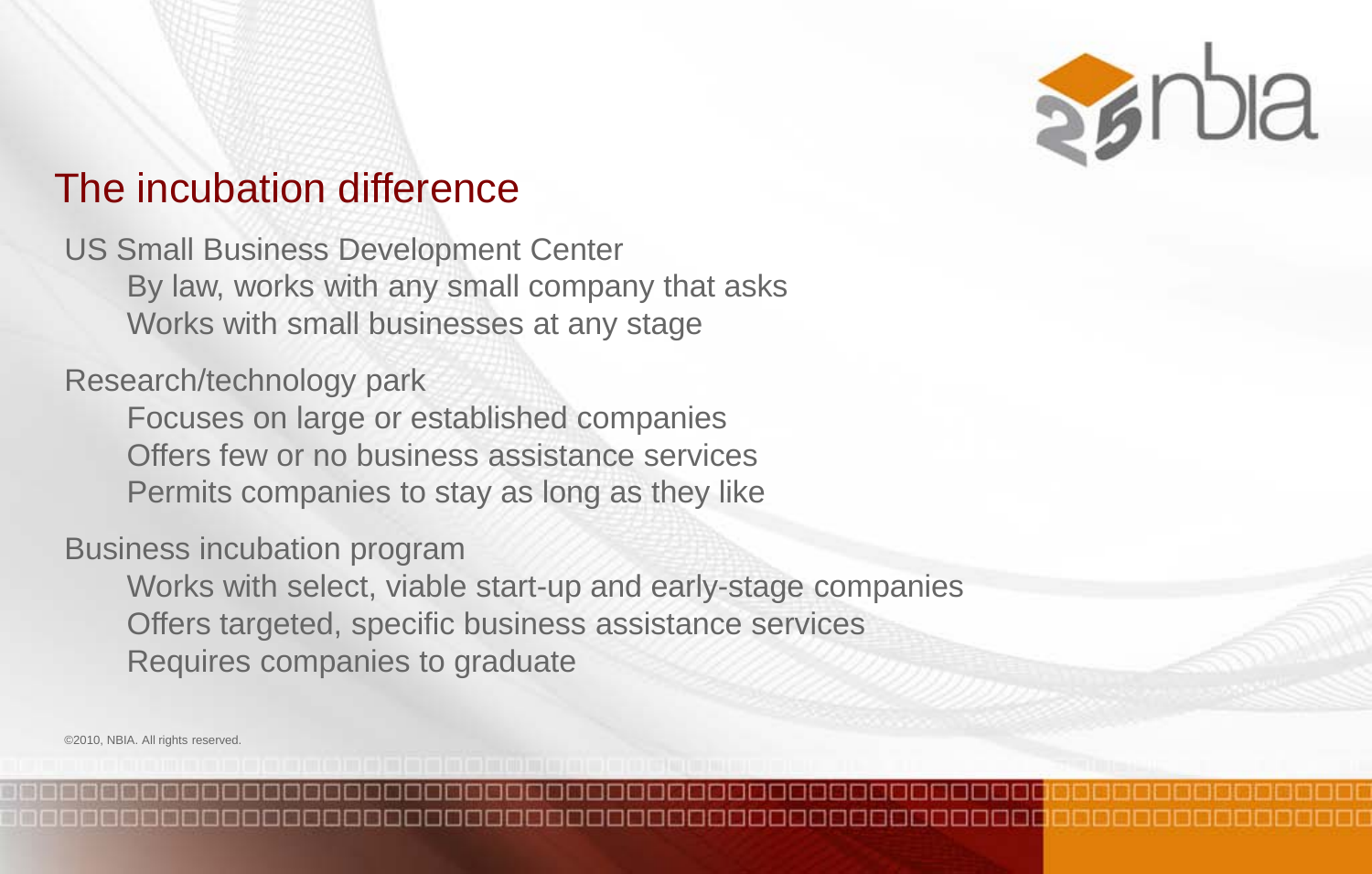

#### The incubation difference

US Small Business Development Center By law, works with any small company that asks Works with small businesses at any stage

Research/technology park

Focuses on large or established companies Offers few or no business assistance services Permits companies to stay as long as they like

Business incubation program

Works with select, viable start-up and early-stage companies Offers targeted, specific business assistance services Requires companies to graduate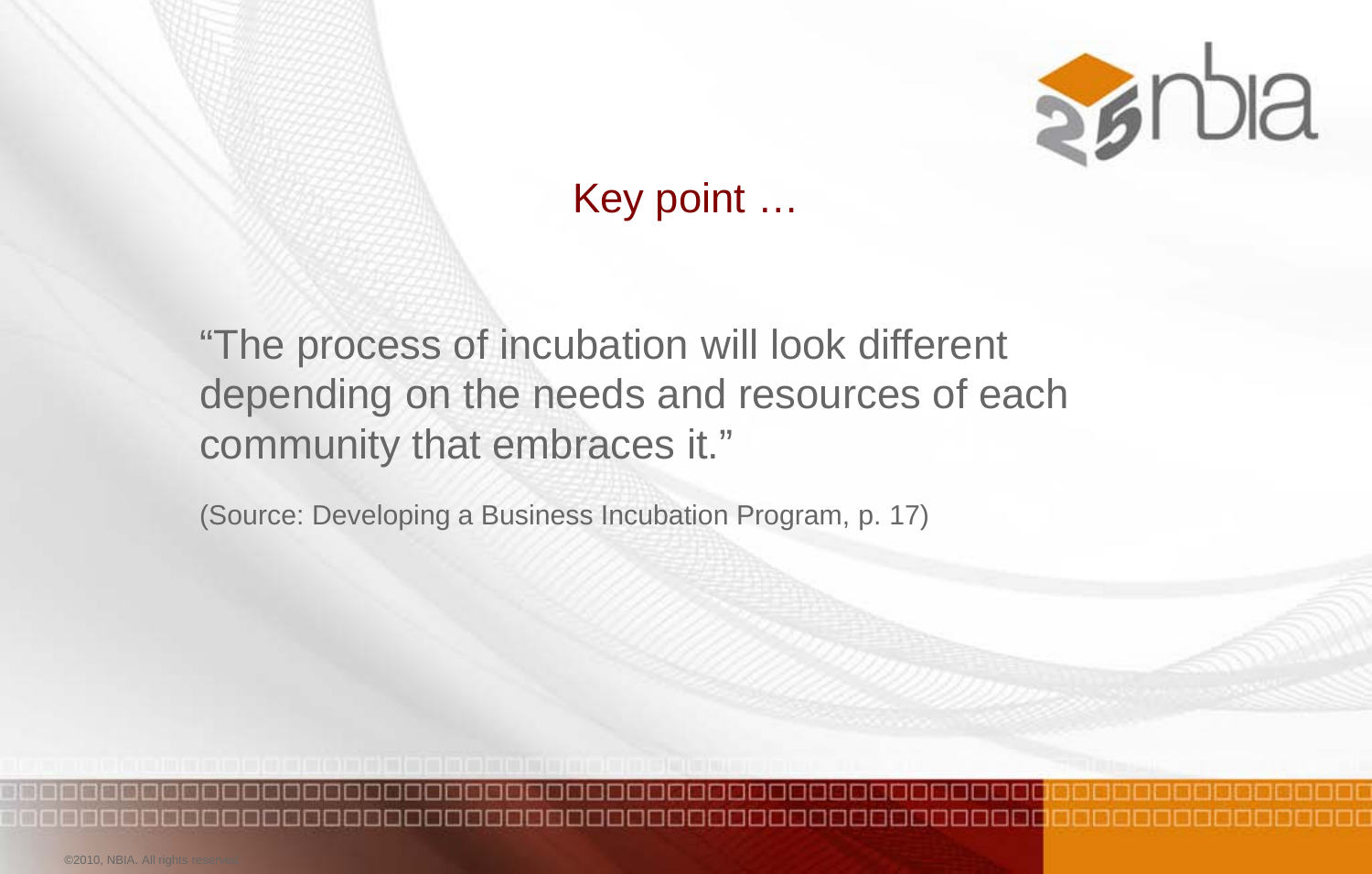

Key point …

"The process of incubation will look different depending on the needs and resources of each community that embraces it."

(Source: Developing a Business Incubation Program, p. 17)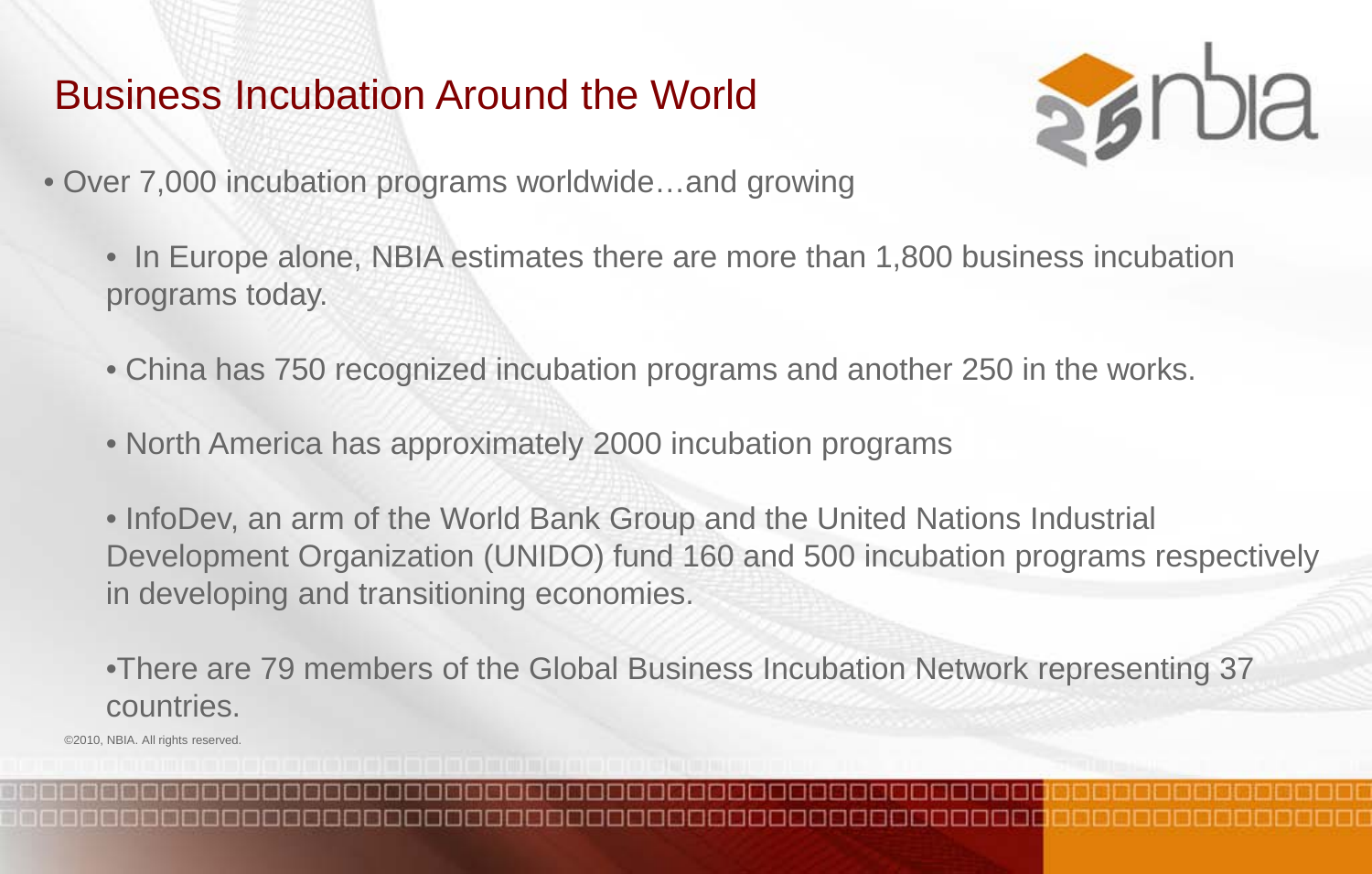## Business Incubation Around the World



- Over 7,000 incubation programs worldwide…and growing
	- In Europe alone, NBIA estimates there are more than 1,800 business incubation programs today.
	- China has 750 recognized incubation programs and another 250 in the works.
	- North America has approximately 2000 incubation programs

• InfoDev, an arm of the World Bank Group and the United Nations Industrial Development Organization (UNIDO) fund 160 and 500 incubation programs respectively in developing and transitioning economies.

•There are 79 members of the Global Business Incubation Network representing 37 countries.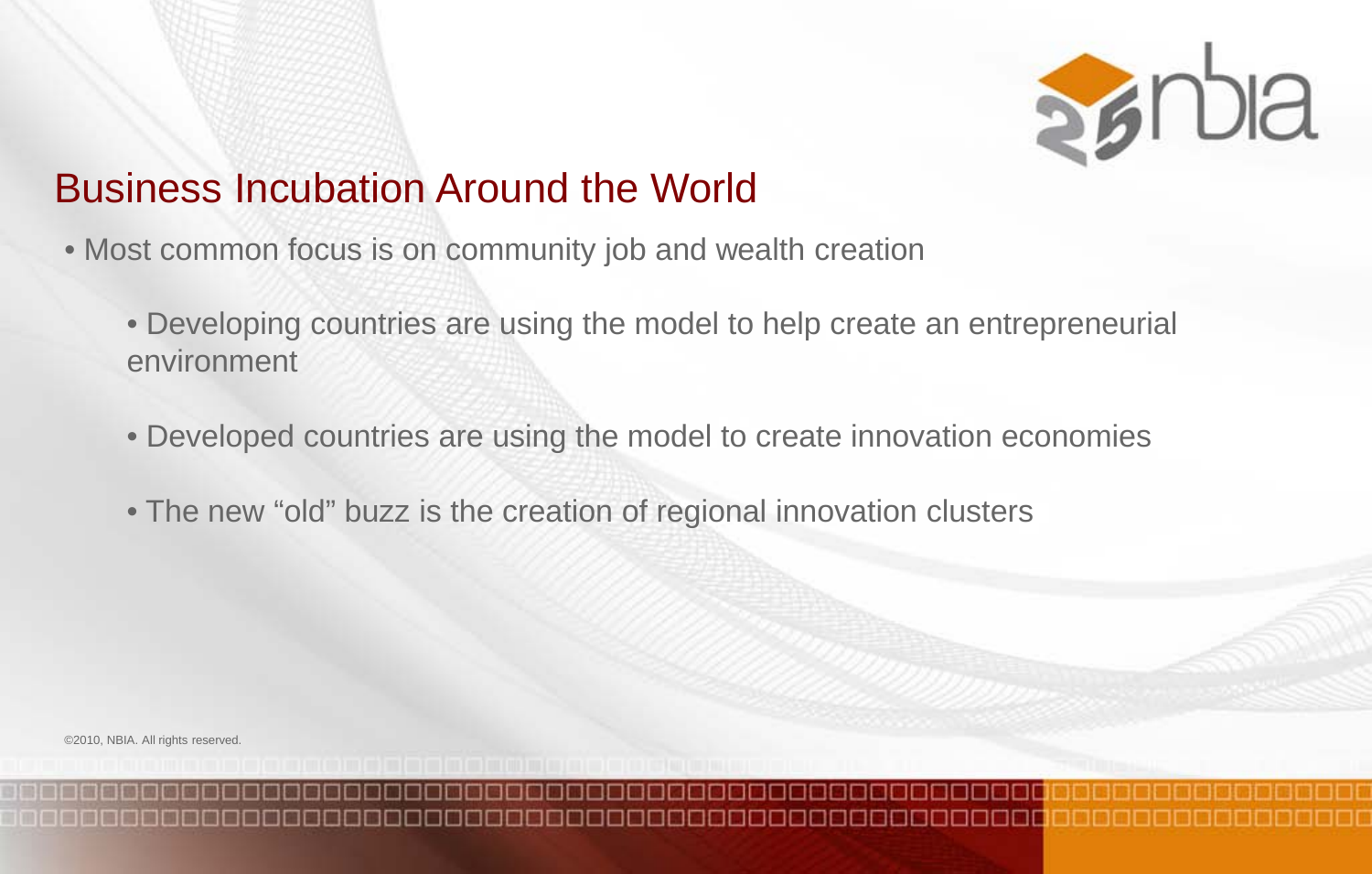

## Business Incubation Around the World

- Most common focus is on community job and wealth creation
	- Developing countries are using the model to help create an entrepreneurial environment
	- Developed countries are using the model to create innovation economies
	- The new "old" buzz is the creation of regional innovation clusters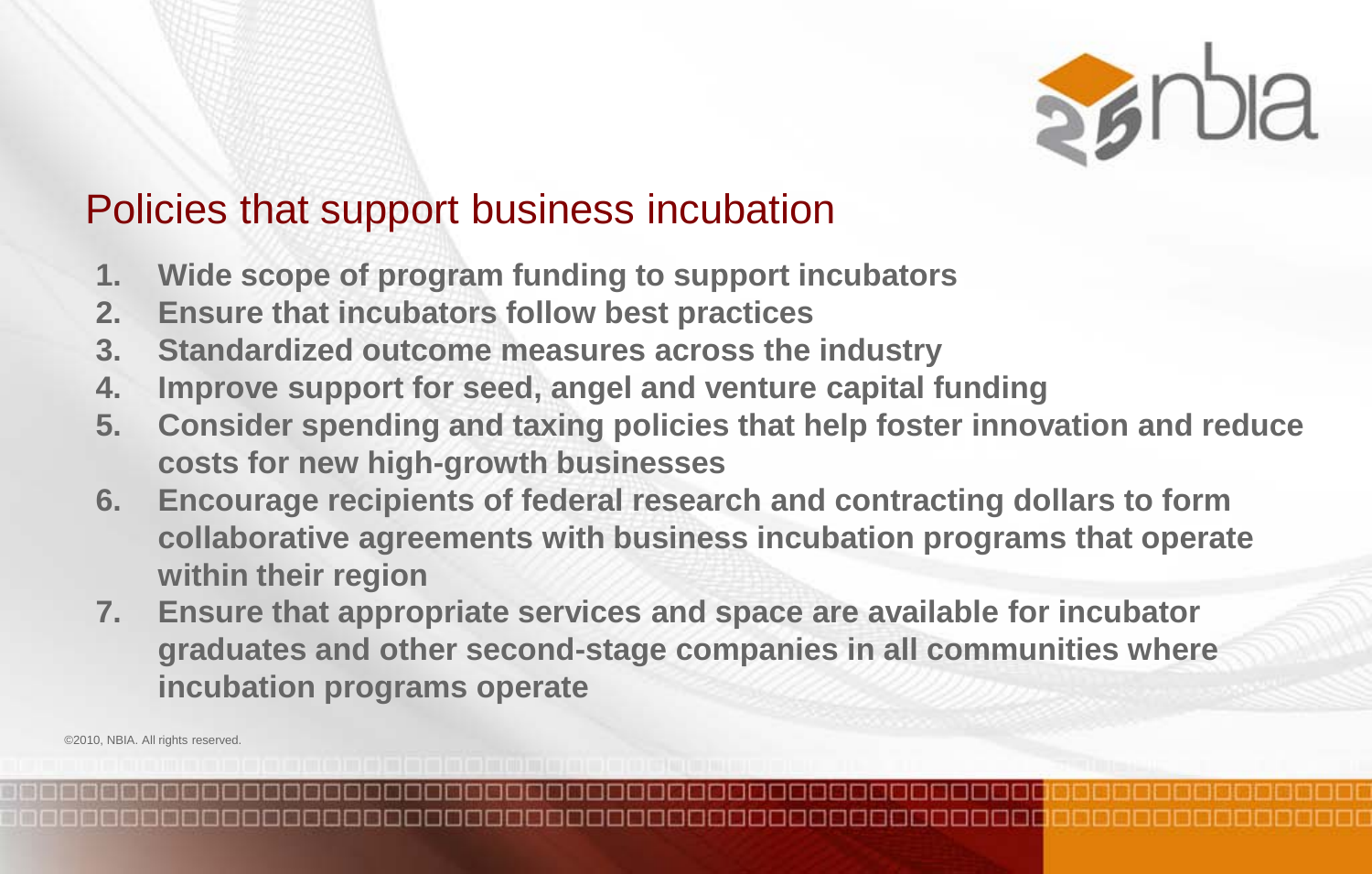

## Policies that support business incubation

- **1. Wide scope of program funding to support incubators**
- **2. Ensure that incubators follow best practices**
- **3. Standardized outcome measures across the industry**
- **4. Improve support for seed, angel and venture capital funding**
- **5. Consider spending and taxing policies that help foster innovation and reduce costs for new high-growth businesses**
- **6. Encourage recipients of federal research and contracting dollars to form collaborative agreements with business incubation programs that operate within their region**
- **7. Ensure that appropriate services and space are available for incubator graduates and other second-stage companies in all communities where incubation programs operate**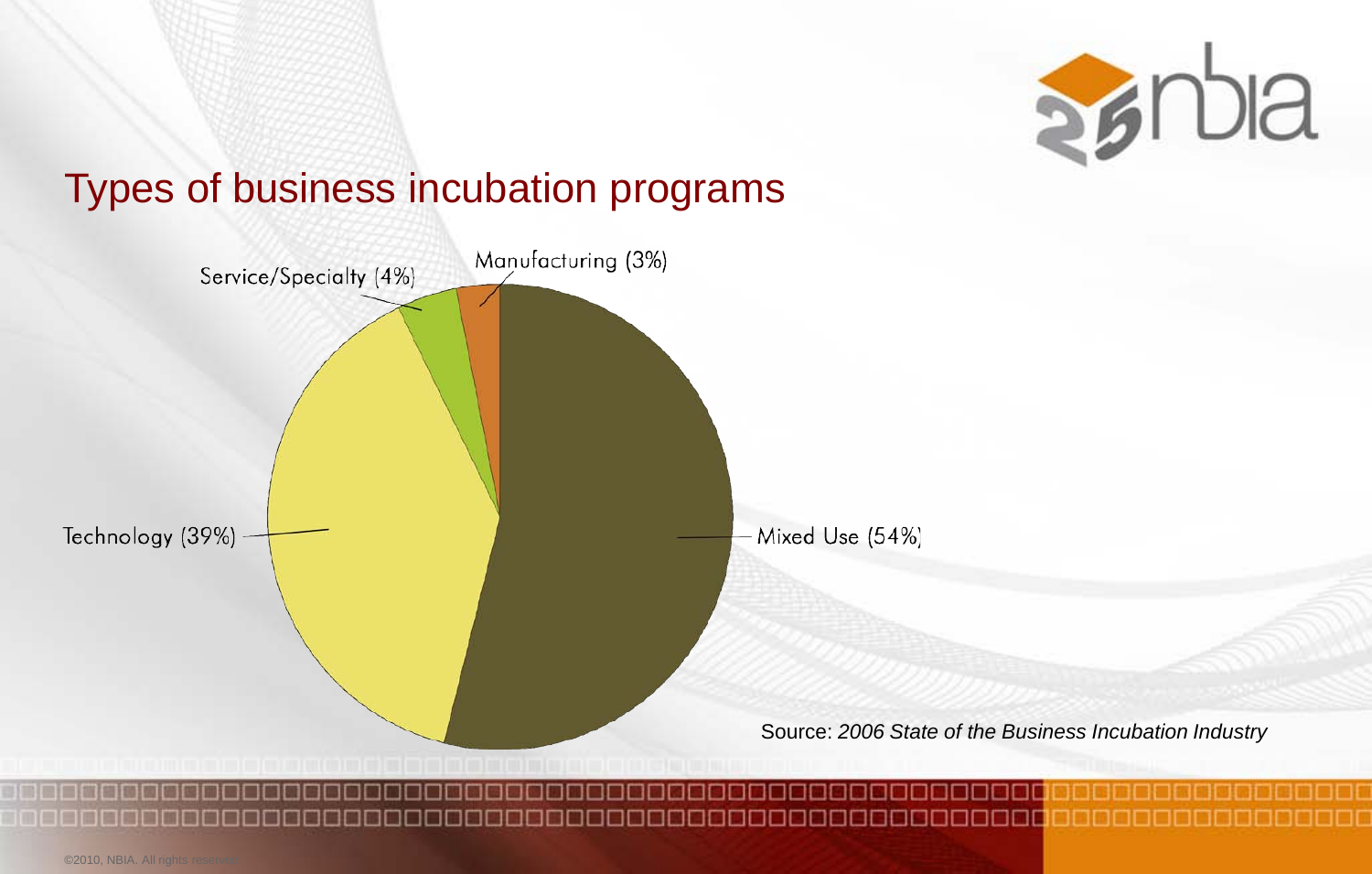

#### Types of business incubation programs

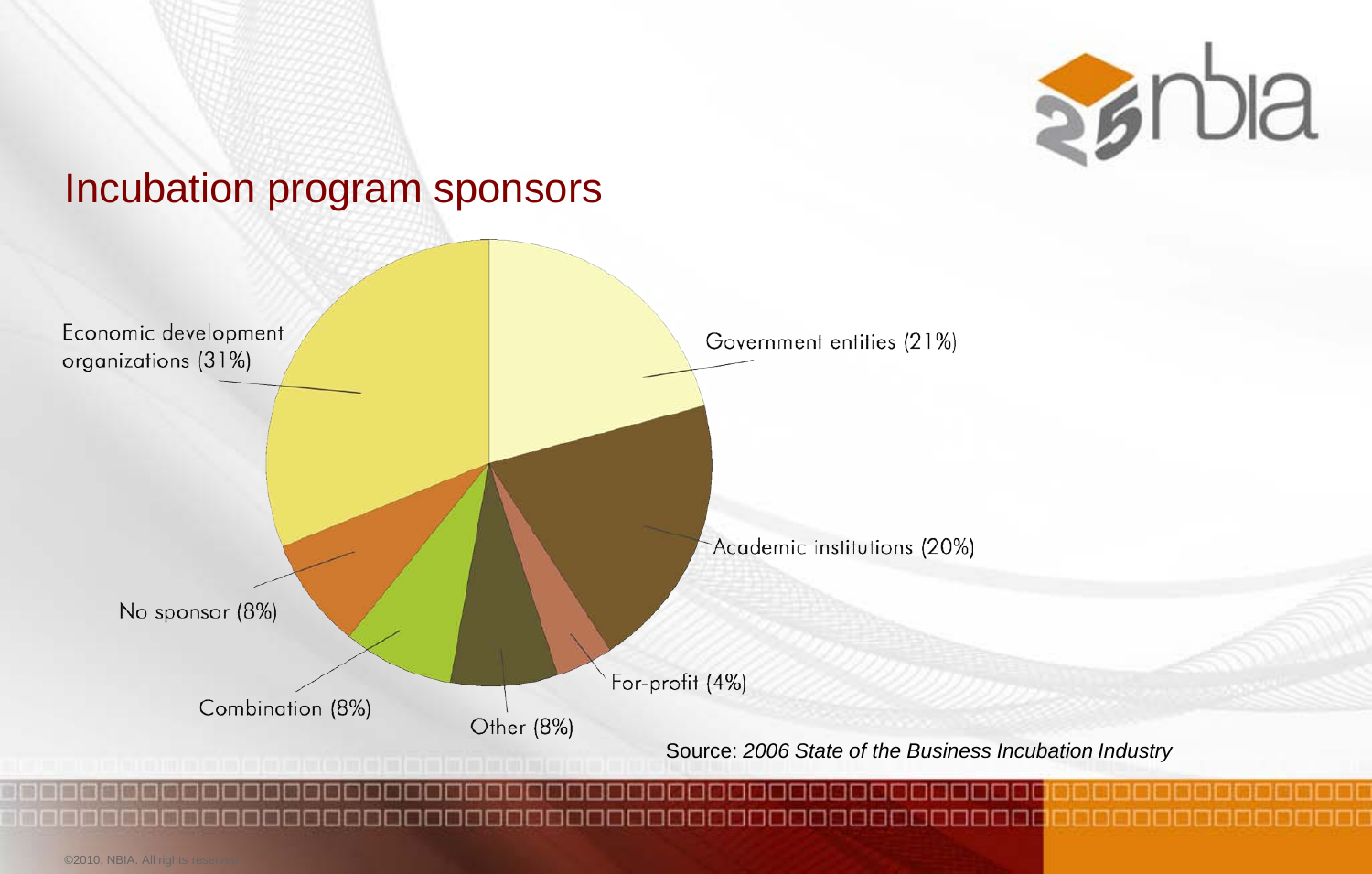

#### Incubation program sponsors

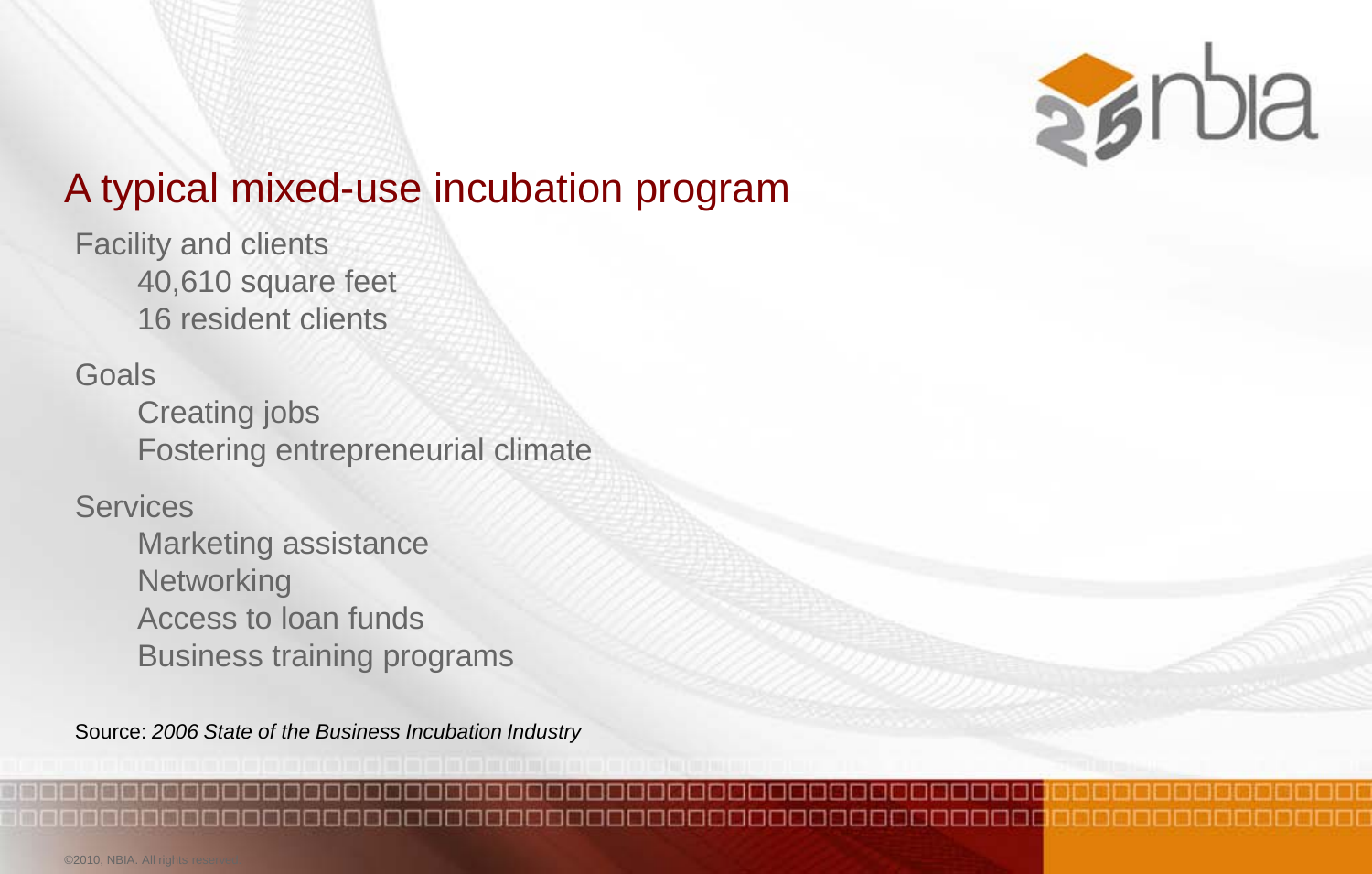

## A typical mixed-use incubation program

Facility and clients 40,610 square feet 16 resident clients

**Goals** 

Creating jobs Fostering entrepreneurial climate

**Services** 

Marketing assistance **Networking** Access to loan funds Business training programs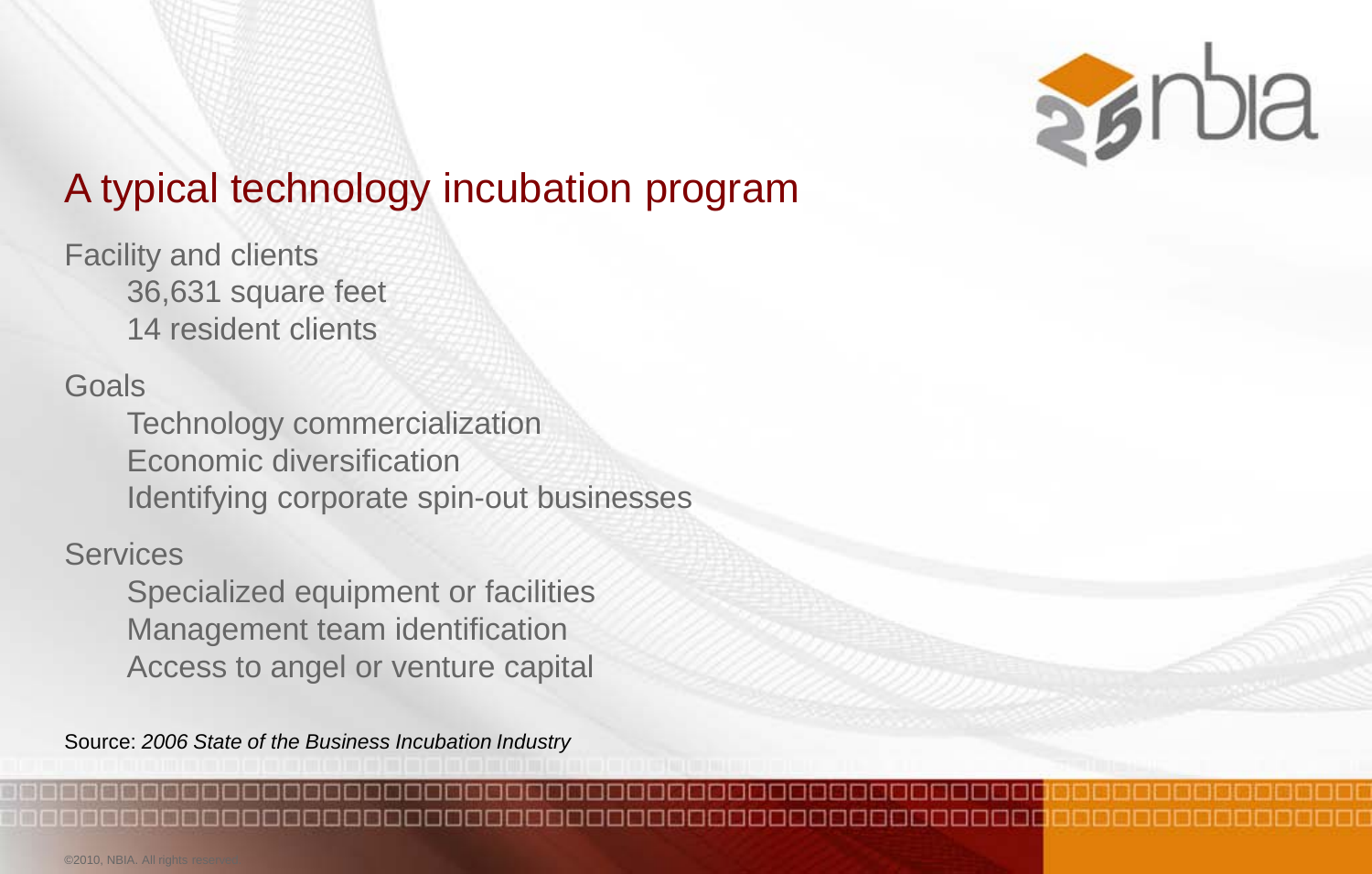

## A typical technology incubation program

Facility and clients 36,631 square feet 14 resident clients

#### Goals

Technology commercialization Economic diversification Identifying corporate spin-out businesses

#### **Services**

Specialized equipment or facilities Management team identification Access to angel or venture capital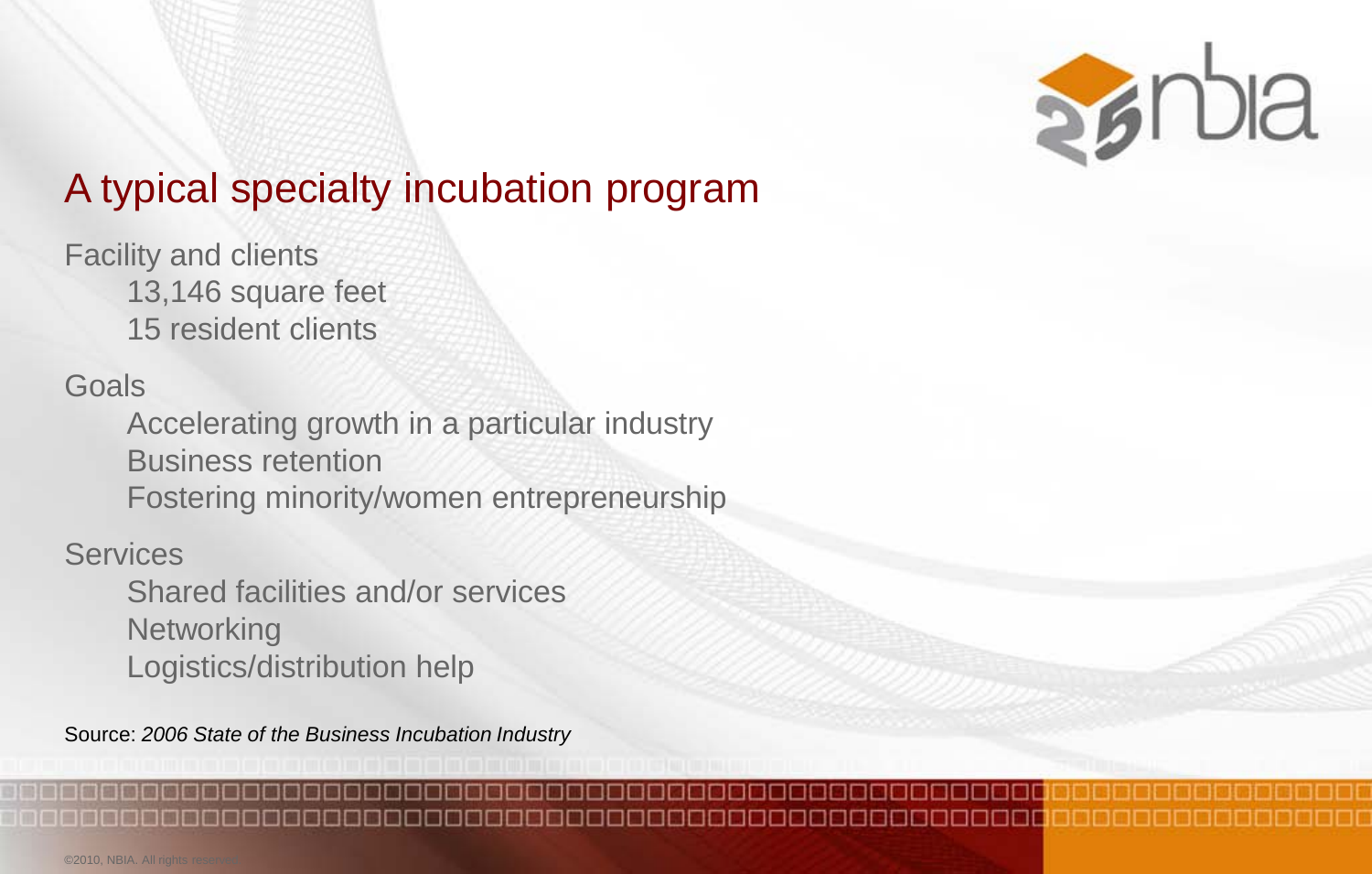

## A typical specialty incubation program

Facility and clients 13,146 square feet 15 resident clients

#### Goals

Accelerating growth in a particular industry Business retention Fostering minority/women entrepreneurship

#### **Services**

Shared facilities and/or services **Networking** Logistics/distribution help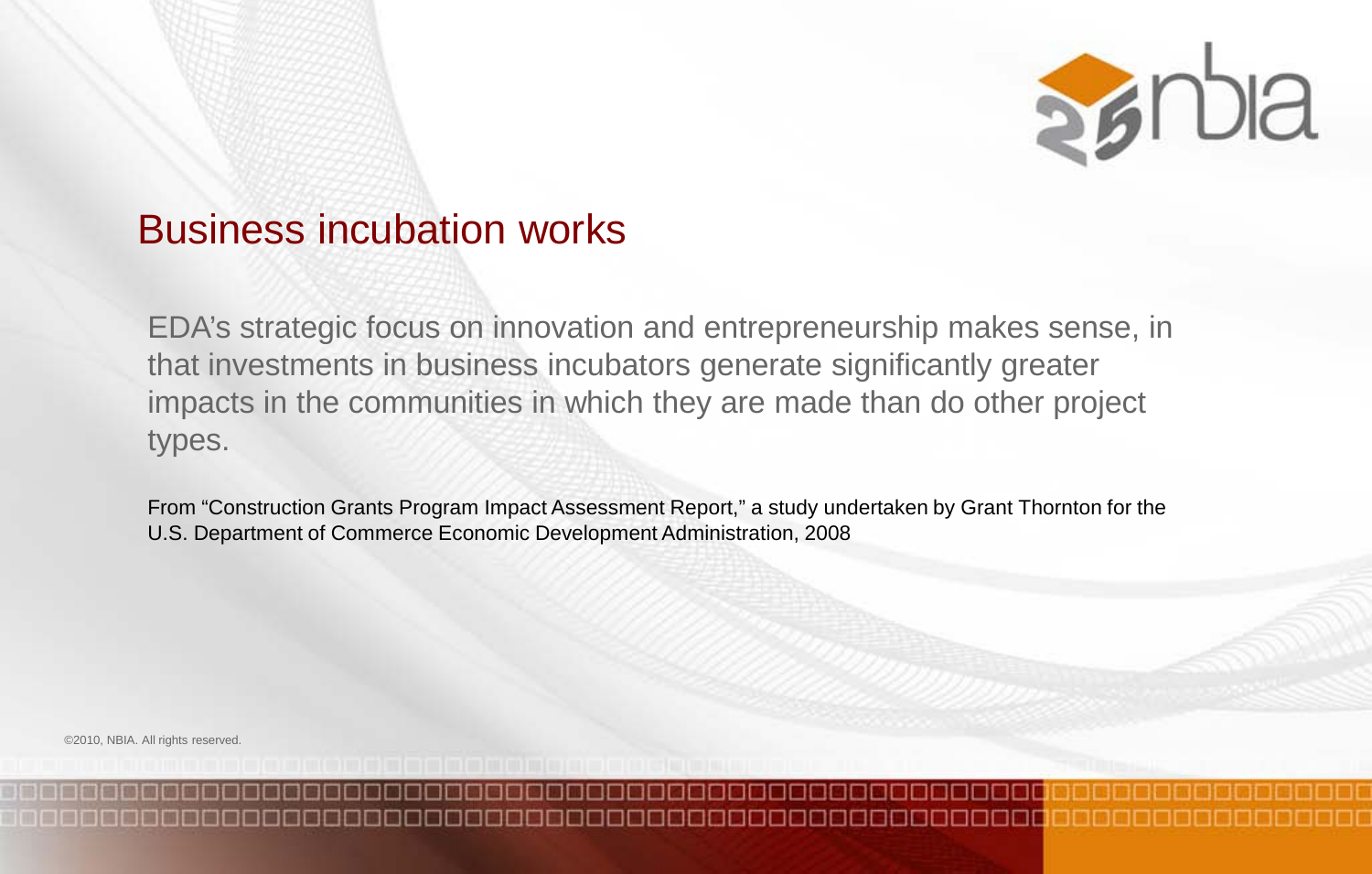

#### Business incubation works

EDA's strategic focus on innovation and entrepreneurship makes sense, in that investments in business incubators generate significantly greater impacts in the communities in which they are made than do other project types.

From "Construction Grants Program Impact Assessment Report," a study undertaken by Grant Thornton for the U.S. Department of Commerce Economic Development Administration, 2008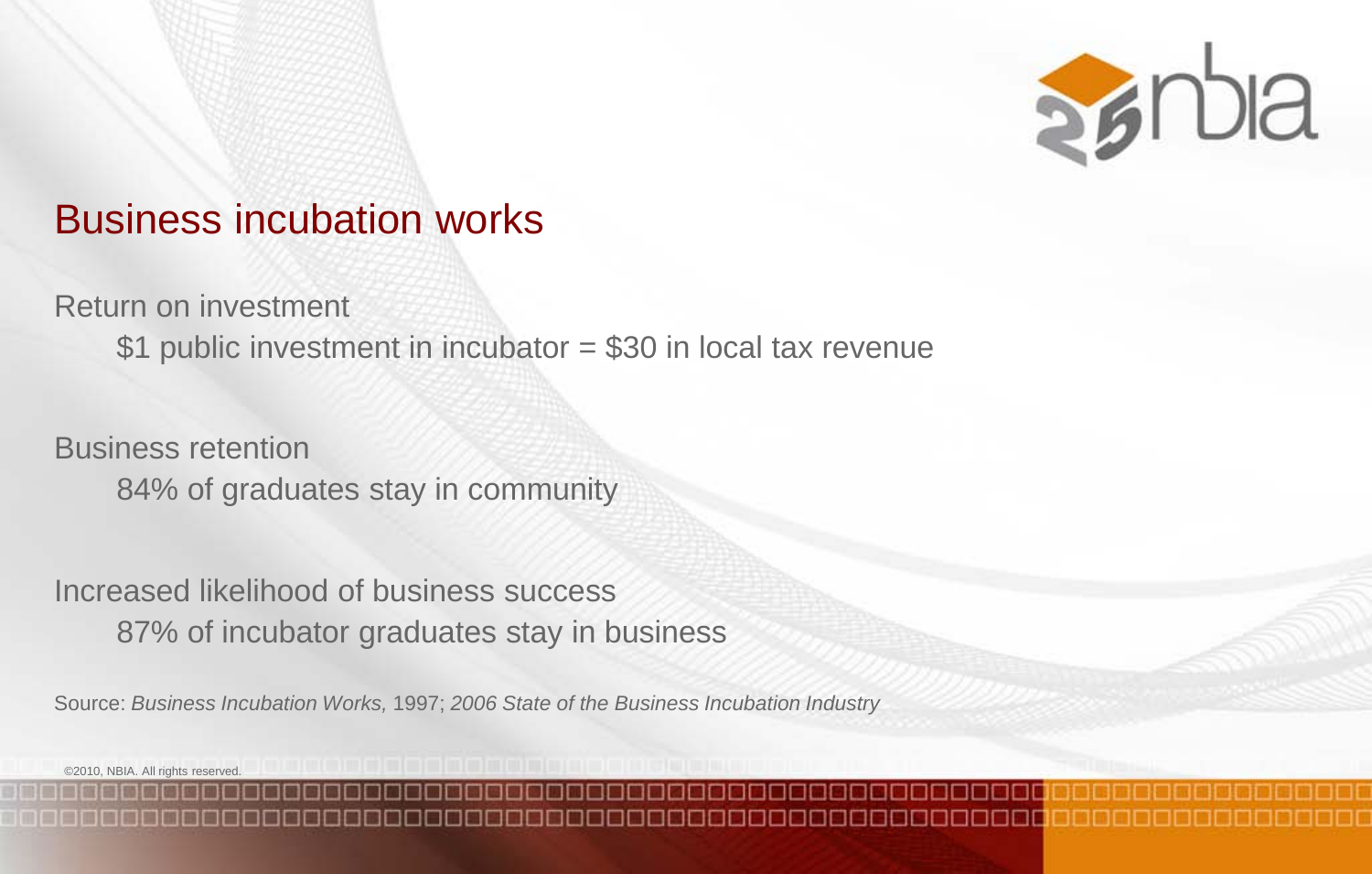

#### Business incubation works

Return on investment

\$1 public investment in incubator = \$30 in local tax revenue

Business retention 84% of graduates stay in community

Increased likelihood of business success 87% of incubator graduates stay in business

Source: *Business Incubation Works,* 1997; *2006 State of the Business Incubation Industry*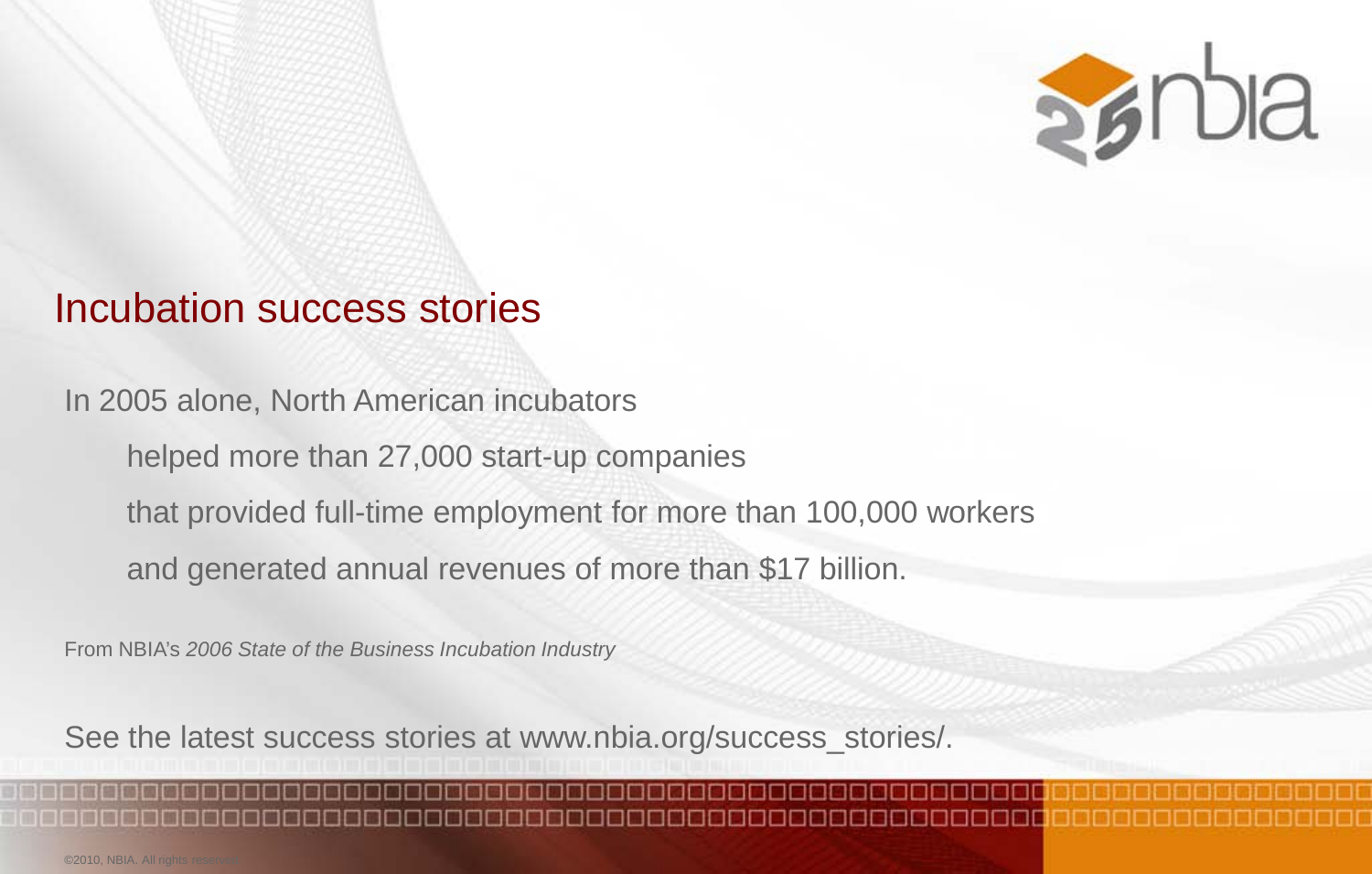

#### Incubation success stories

In 2005 alone, North American incubators helped more than 27,000 start-up companies that provided full-time employment for more than 100,000 workers

and generated annual revenues of more than \$17 billion.

From NBIA's *2006 State of the Business Incubation Industry*

See the latest success stories at www.nbia.org/success\_stories/.

©2010, NBIA. All rights re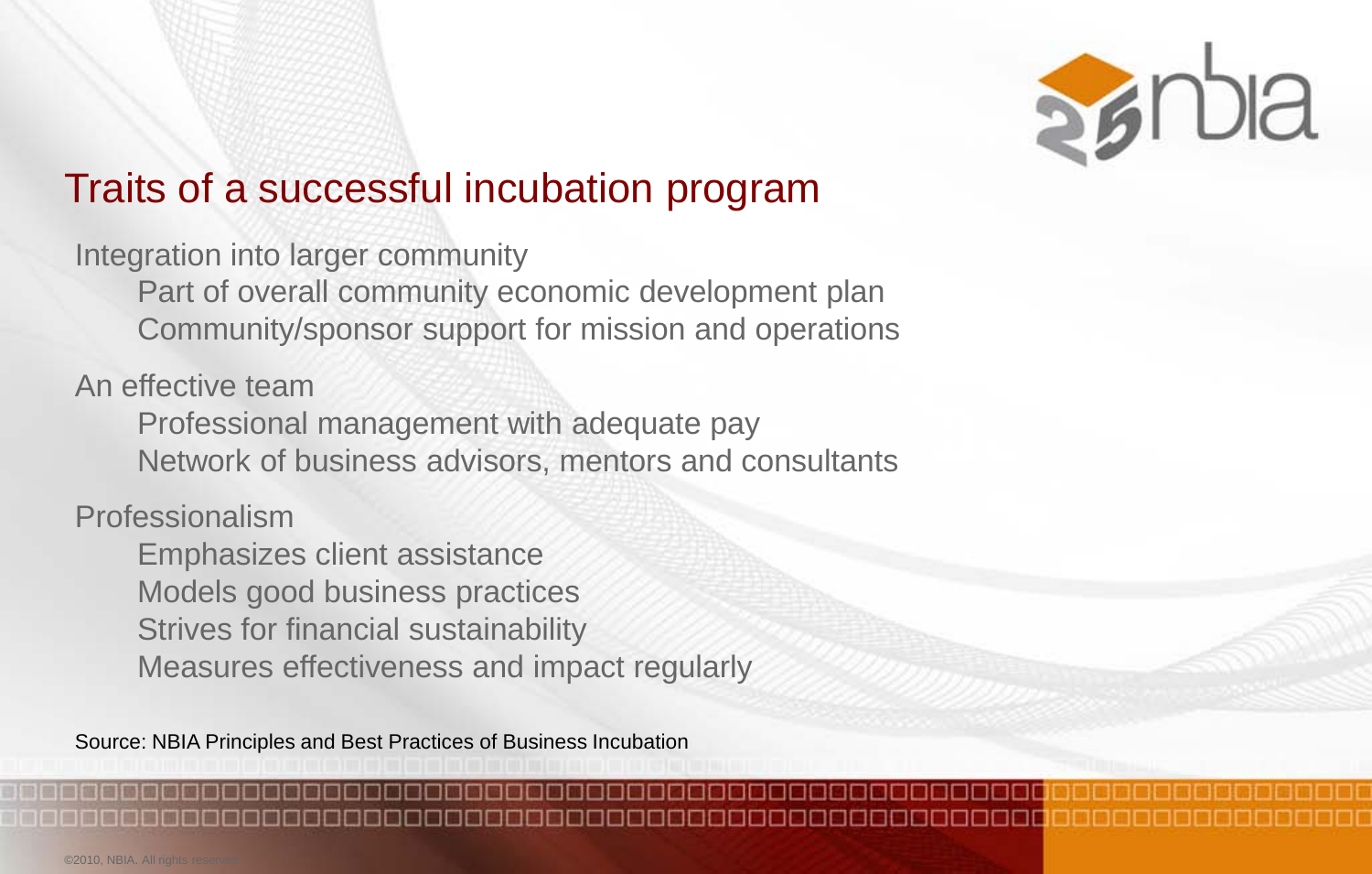

## Traits of a successful incubation program

Integration into larger community

Part of overall community economic development plan Community/sponsor support for mission and operations

An effective team

Professional management with adequate pay Network of business advisors, mentors and consultants

Professionalism

Emphasizes client assistance Models good business practices Strives for financial sustainability Measures effectiveness and impact regularly

Source: NBIA Principles and Best Practices of Business Incubation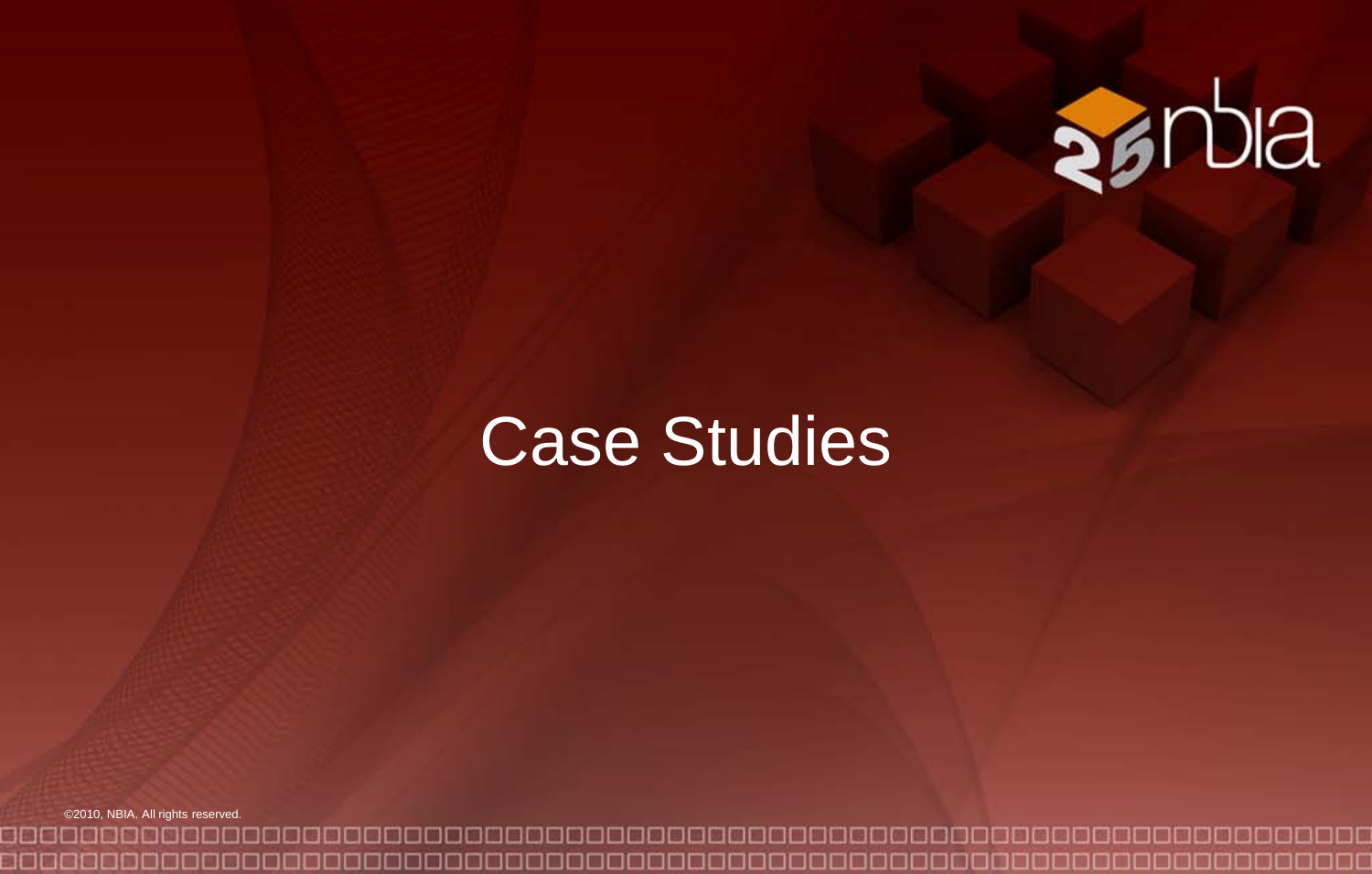

# Case Studies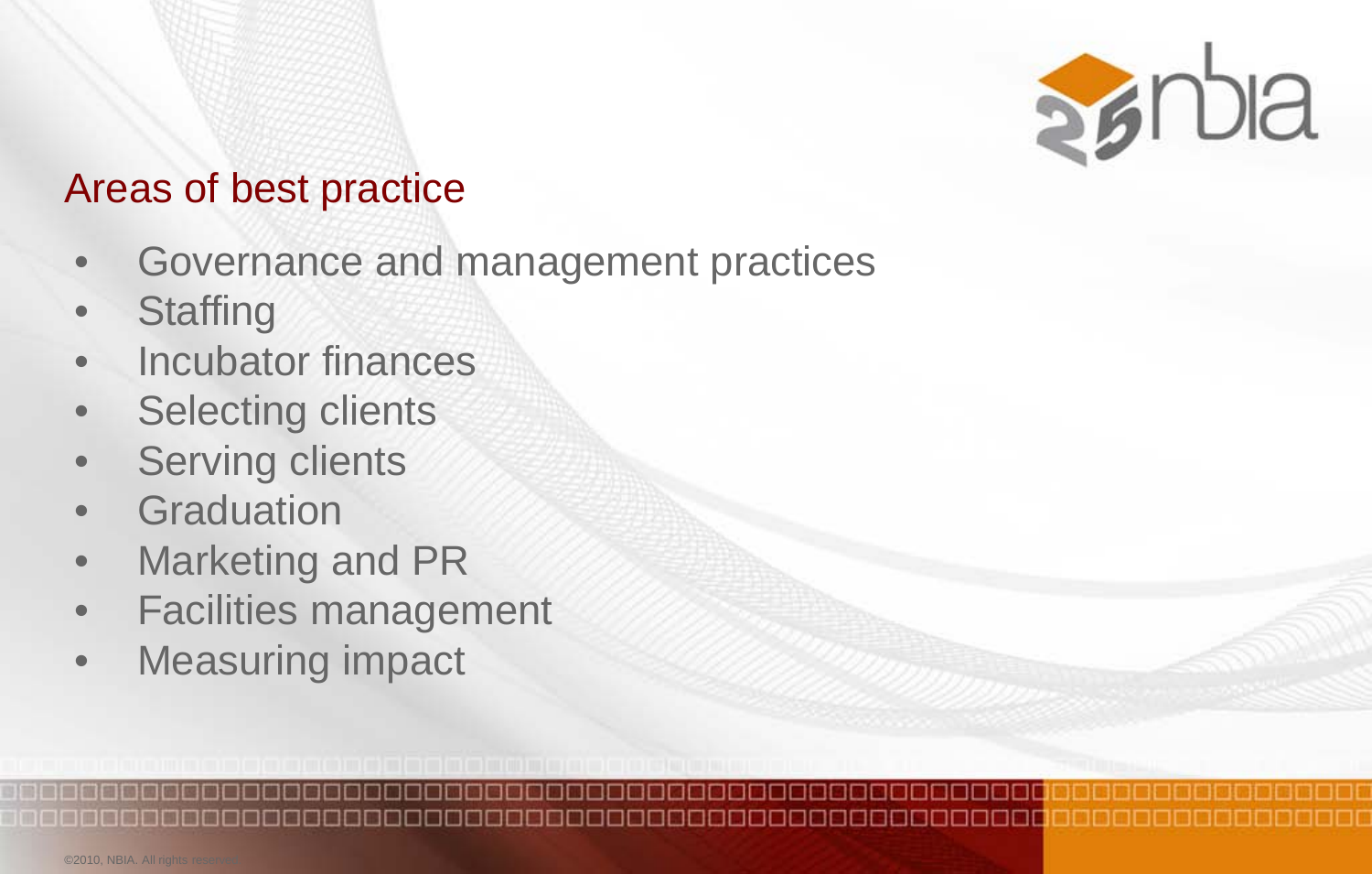

#### Areas of best practice

- Governance and management practices
- **Staffing**
- Incubator finances
- **Selecting clients**
- **Serving clients**
- **Graduation**
- Marketing and PR
- Facilities management
- Measuring impact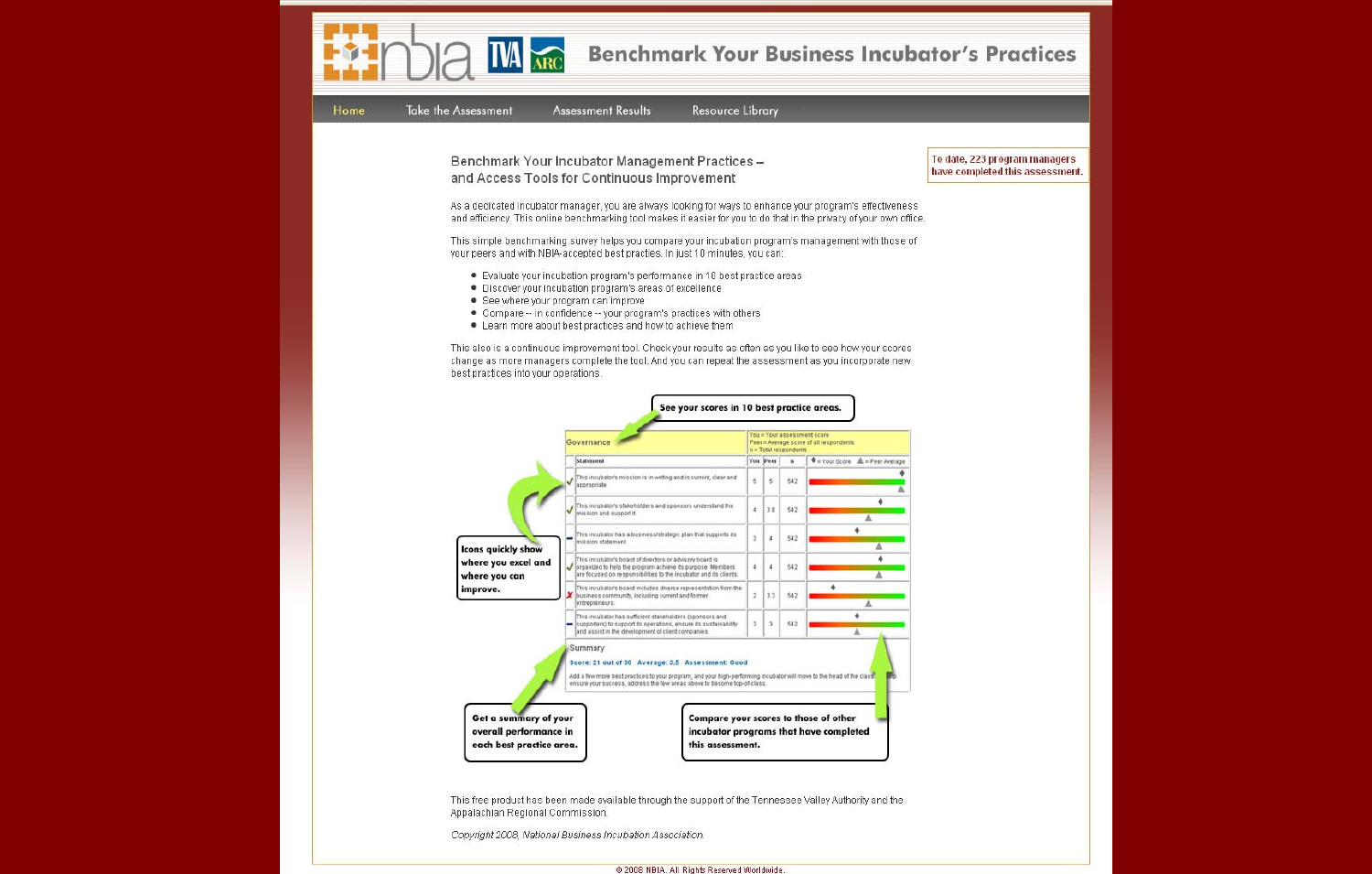| Home<br>Take the Assessment                                                   | <b>Benchmark Your Business Incubator's Practices</b><br><b>Assessment Results</b><br><b>Resource Library</b>                                                                                                                                                                                                                                                                                                                                                                                                                                                                                                                                                                                                                                                                                                         |                                                                                            |                                                                                       |                                                                                 |                                                                                                                                                                                             |                                                                  |
|-------------------------------------------------------------------------------|----------------------------------------------------------------------------------------------------------------------------------------------------------------------------------------------------------------------------------------------------------------------------------------------------------------------------------------------------------------------------------------------------------------------------------------------------------------------------------------------------------------------------------------------------------------------------------------------------------------------------------------------------------------------------------------------------------------------------------------------------------------------------------------------------------------------|--------------------------------------------------------------------------------------------|---------------------------------------------------------------------------------------|---------------------------------------------------------------------------------|---------------------------------------------------------------------------------------------------------------------------------------------------------------------------------------------|------------------------------------------------------------------|
| • See where your program can improve                                          | Benchmark Your Incubator Management Practices -<br>and Access Tools for Continuous Improvement<br>As a dedicated incubator manager, you are always looking for ways to enhance your program's effectiveness<br>and efficiency. This online benchmarking tool makes it easier for you to do that in the privacy of your own office.<br>This simple benchmarking survey helps you compare your incubation program's management with those of<br>your peers and with NBIA-accepted best practies. In just 10 minutes, you can:<br>. Evaluate your incubation program's performance in 10 best practice areas<br>. Discover your incubation program's areas of excellence<br>. Compare -- in confidence -- your program's practices with others<br>. Learn more about best practices and how to achieve them             |                                                                                            |                                                                                       |                                                                                 |                                                                                                                                                                                             | To date, 223 program managers<br>have completed this assessment. |
| best practices into your operations.                                          | This also is a continuous improvement tool. Check your results as often as you like to see how your scores<br>change as more managers complete the tool. And you can repeat the assessment as you incorporate new<br>See your scores in 10 best practice areas.                                                                                                                                                                                                                                                                                                                                                                                                                                                                                                                                                      |                                                                                            |                                                                                       |                                                                                 |                                                                                                                                                                                             |                                                                  |
| <b>Icons quickly show</b><br>where you excel and<br>where you can<br>improve. | Governance<br>Statement<br>This incubator's mission is in writing and is current, clear and<br>ppropriate<br>This incubator's stakeholders and sponsors understand the<br>ission and support it.<br>This incubator has a business/strategic plan that supports its<br>ission statement<br>This incubator's board of directors or advisory board is<br>organized to help the program achieve its purpose. Members<br>are focused on responsibilities to the incubator and its clients.<br>This incubator's board includes direrse representation from the<br>business community, including current and former<br>entrepreneurs.<br>This incubator has sufficient stakeholders (sponsors and<br>supporters) to support its operations, ensure its sustainability<br>and assist in the development of client companies. | ŝ<br>$\ddot{a}$<br>$\mathbf{r}$<br>$\ddot{\phantom{a}}$<br>$\overline{2}$<br>$\mathfrak z$ | You Peer<br>$\tilde{\mathbf{5}}$<br>3.8<br>$\epsilon$<br>$\pmb{\iota}$<br>3.3<br>$\,$ | n = Total respondents<br>$\mathbf{B}$<br>542<br>542<br>542<br>642<br>542<br>542 | ou = Your assessment score<br>Peer = Average score of all respondents<br>$\Phi$ = Your Score $\mathbb{A}$ = Peer Average<br>۰<br>Δ<br>۰<br>А<br>٠<br>Δ<br>۰<br>A<br>۰<br>$\Delta$<br>٠<br>A |                                                                  |
| Get a summary of your<br>overall performance in<br>each best practice area.   | Summary<br>Score: 21 out of 30 Average: 3,5 Assessment: Good<br>Add a few more best practices to your program, and your high-performing incubator will move to the head of the class<br>nsure your success, address the few areas above to become top-of-class<br>Compare your scores to those of other<br>this assessment.                                                                                                                                                                                                                                                                                                                                                                                                                                                                                          |                                                                                            |                                                                                       |                                                                                 | incubator programs that have completed                                                                                                                                                      |                                                                  |
| Appalachian Regional Commission.                                              | This free product has been made available through the support of the Tennessee Valley Authority and the<br>Copyright 2008, National Business Incubation Association.                                                                                                                                                                                                                                                                                                                                                                                                                                                                                                                                                                                                                                                 |                                                                                            |                                                                                       |                                                                                 |                                                                                                                                                                                             |                                                                  |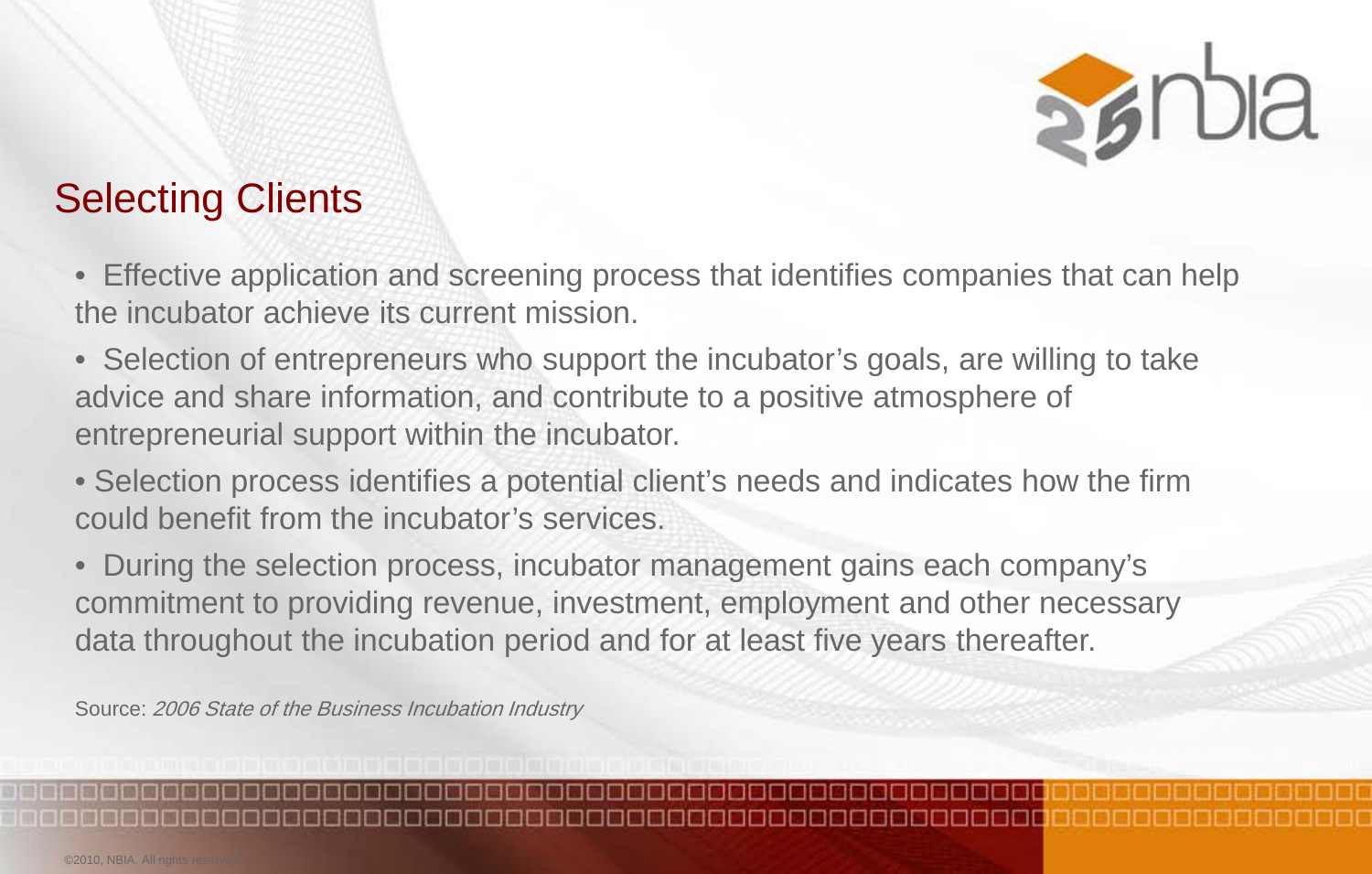

## Selecting Clients

- Effective application and screening process that identifies companies that can help the incubator achieve its current mission.
- Selection of entrepreneurs who support the incubator's goals, are willing to take advice and share information, and contribute to a positive atmosphere of entrepreneurial support within the incubator.
- Selection process identifies a potential client's needs and indicates how the firm could benefit from the incubator's services.
- During the selection process, incubator management gains each company's commitment to providing revenue, investment, employment and other necessary data throughout the incubation period and for at least five years thereafter.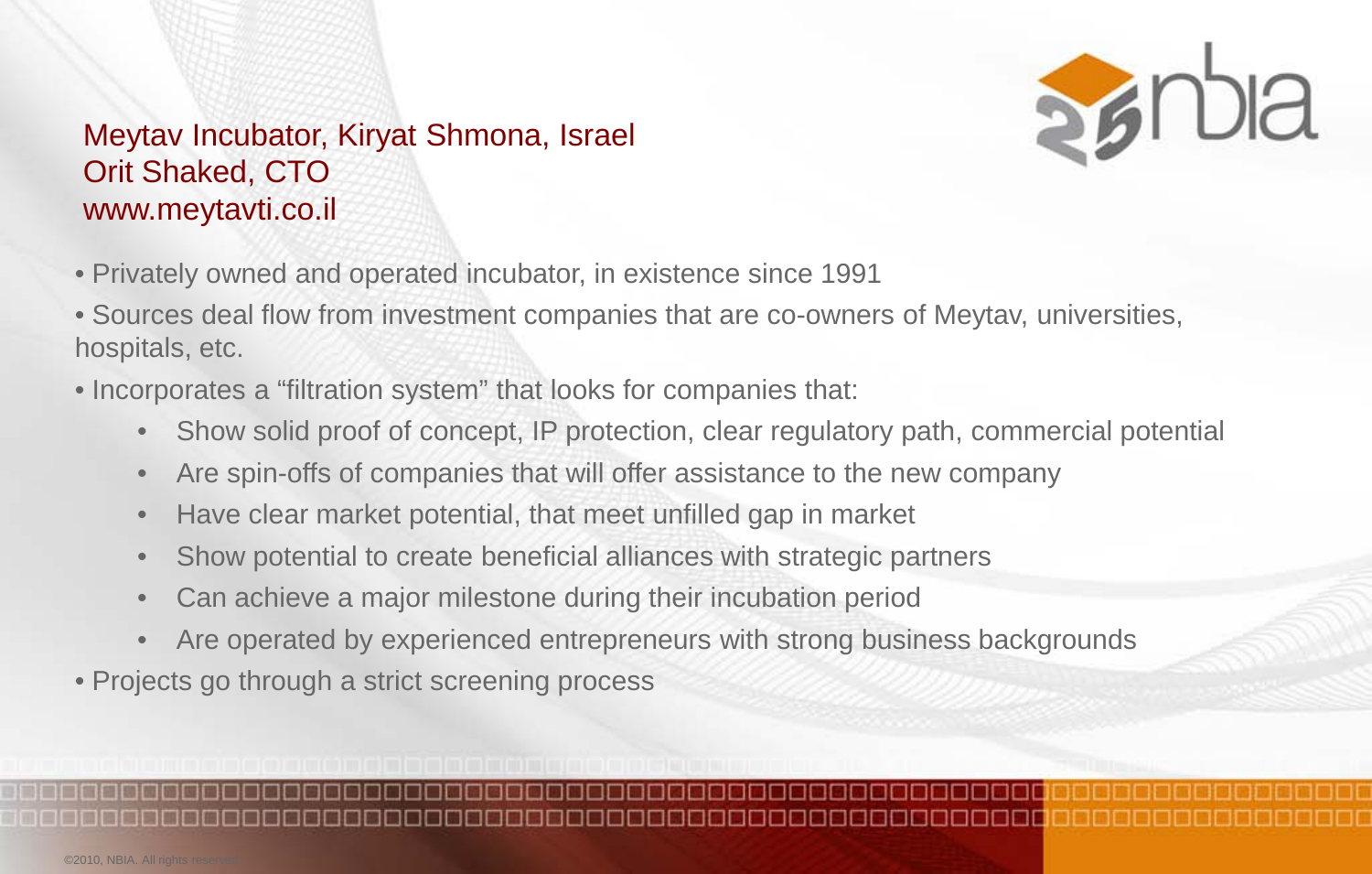

#### Meytav Incubator, Kiryat Shmona, Israel Orit Shaked, CTO www.meytavti.co.il

- Privately owned and operated incubator, in existence since 1991
- Sources deal flow from investment companies that are co-owners of Meytav, universities, hospitals, etc.
- Incorporates a "filtration system" that looks for companies that:
	- Show solid proof of concept, IP protection, clear regulatory path, commercial potential
	- Are spin-offs of companies that will offer assistance to the new company
	- Have clear market potential, that meet unfilled gap in market
	- Show potential to create beneficial alliances with strategic partners
	- Can achieve a major milestone during their incubation period
	- Are operated by experienced entrepreneurs with strong business backgrounds
- Projects go through a strict screening process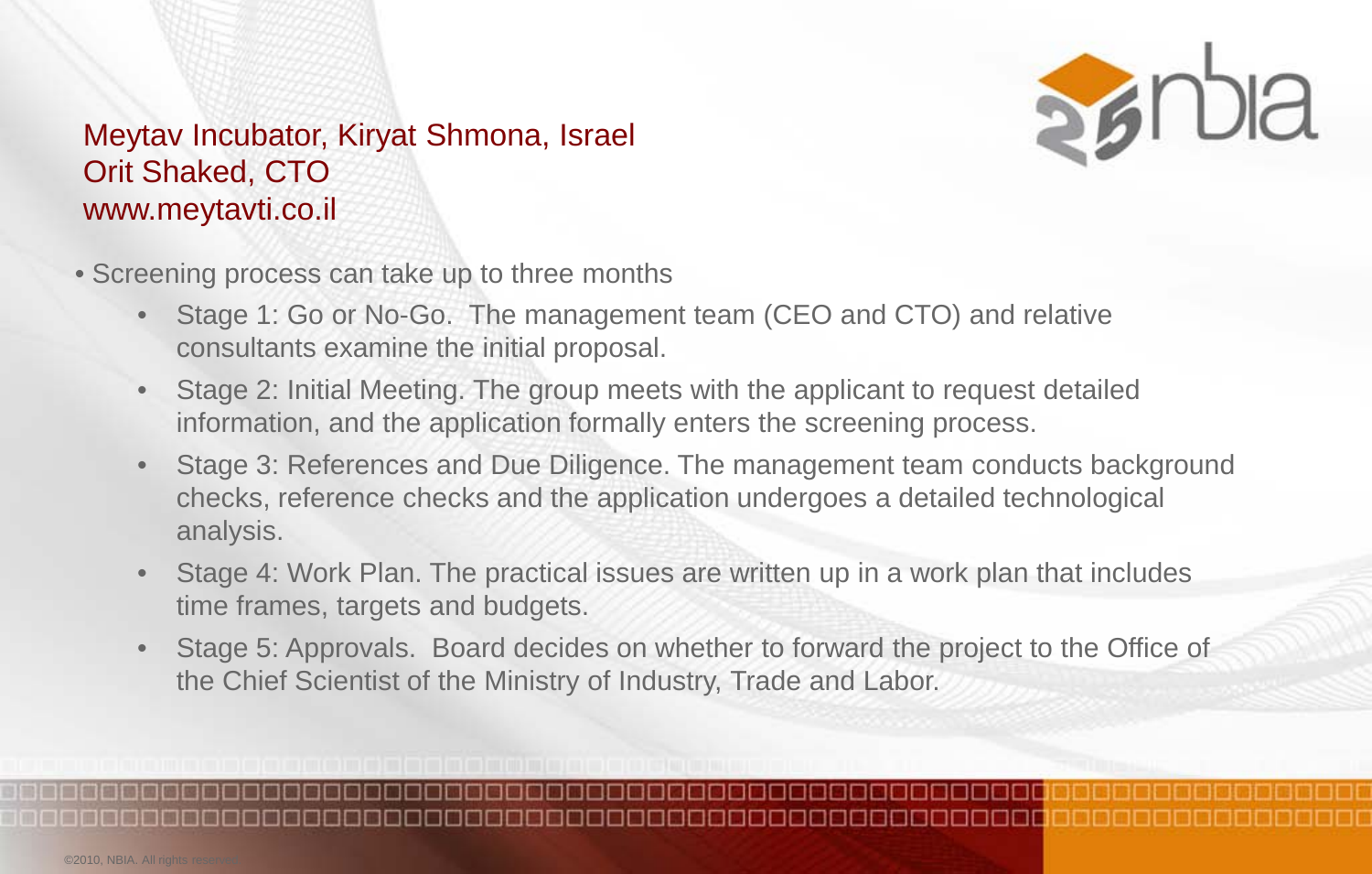

#### Meytav Incubator, Kiryat Shmona, Israel Orit Shaked, CTO www.meytavti.co.il

- Screening process can take up to three months
	- Stage 1: Go or No-Go. The management team (CEO and CTO) and relative consultants examine the initial proposal.
	- Stage 2: Initial Meeting. The group meets with the applicant to request detailed information, and the application formally enters the screening process.
	- Stage 3: References and Due Diligence. The management team conducts background checks, reference checks and the application undergoes a detailed technological analysis.
	- Stage 4: Work Plan. The practical issues are written up in a work plan that includes time frames, targets and budgets.
	- Stage 5: Approvals. Board decides on whether to forward the project to the Office of the Chief Scientist of the Ministry of Industry, Trade and Labor.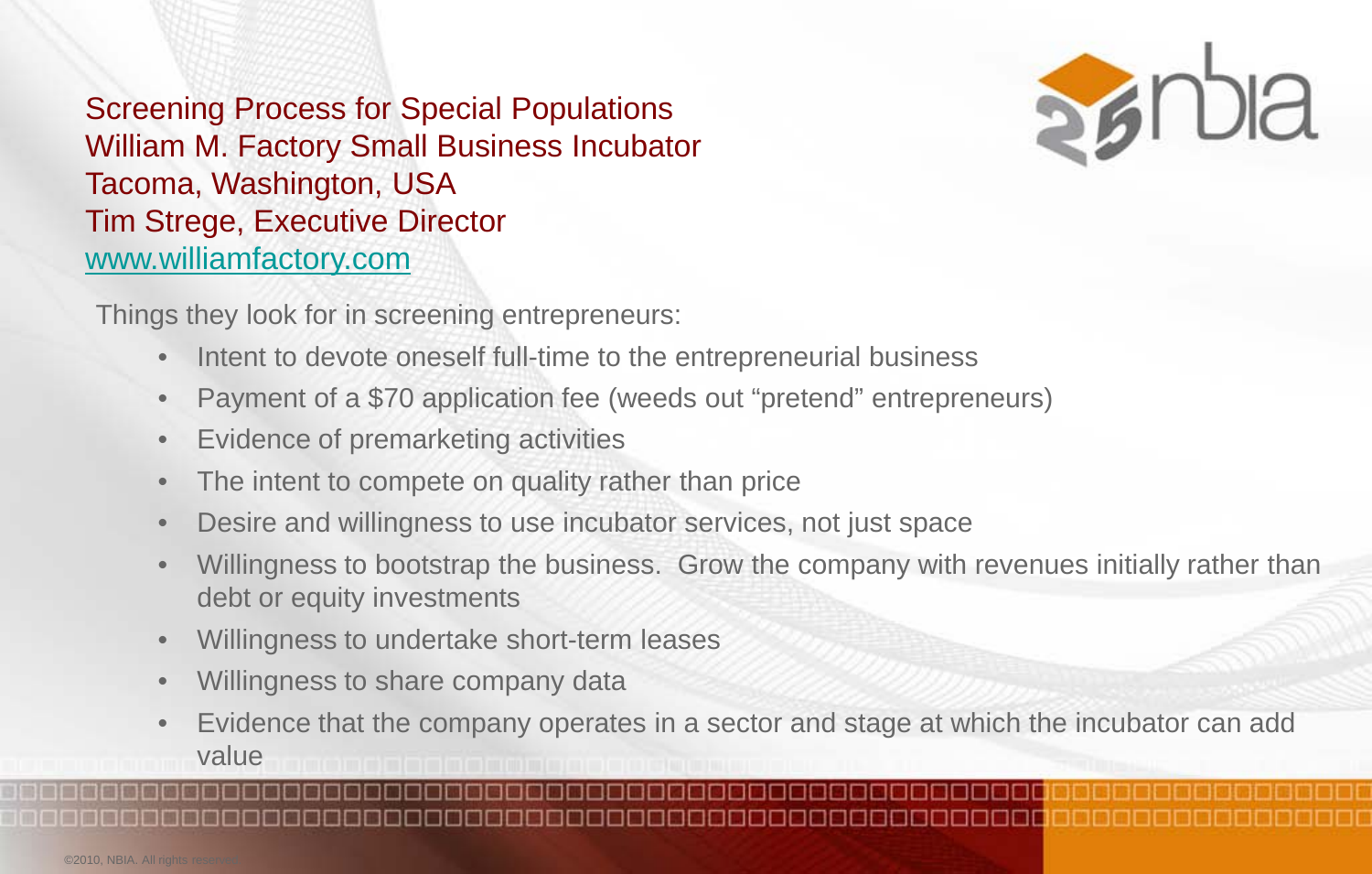Screening Process for Special Populations William M. Factory Small Business Incubator Tacoma, Washington, USA Tim Strege, Executive Director [www.williamfactory.com](http://www.williamfactory.com/)



Things they look for in screening entrepreneurs:

- Intent to devote oneself full-time to the entrepreneurial business
- Payment of a \$70 application fee (weeds out "pretend" entrepreneurs)
- Evidence of premarketing activities
- The intent to compete on quality rather than price
- Desire and willingness to use incubator services, not just space
- Willingness to bootstrap the business. Grow the company with revenues initially rather than debt or equity investments
- Willingness to undertake short-term leases
- Willingness to share company data
- Evidence that the company operates in a sector and stage at which the incubator can add value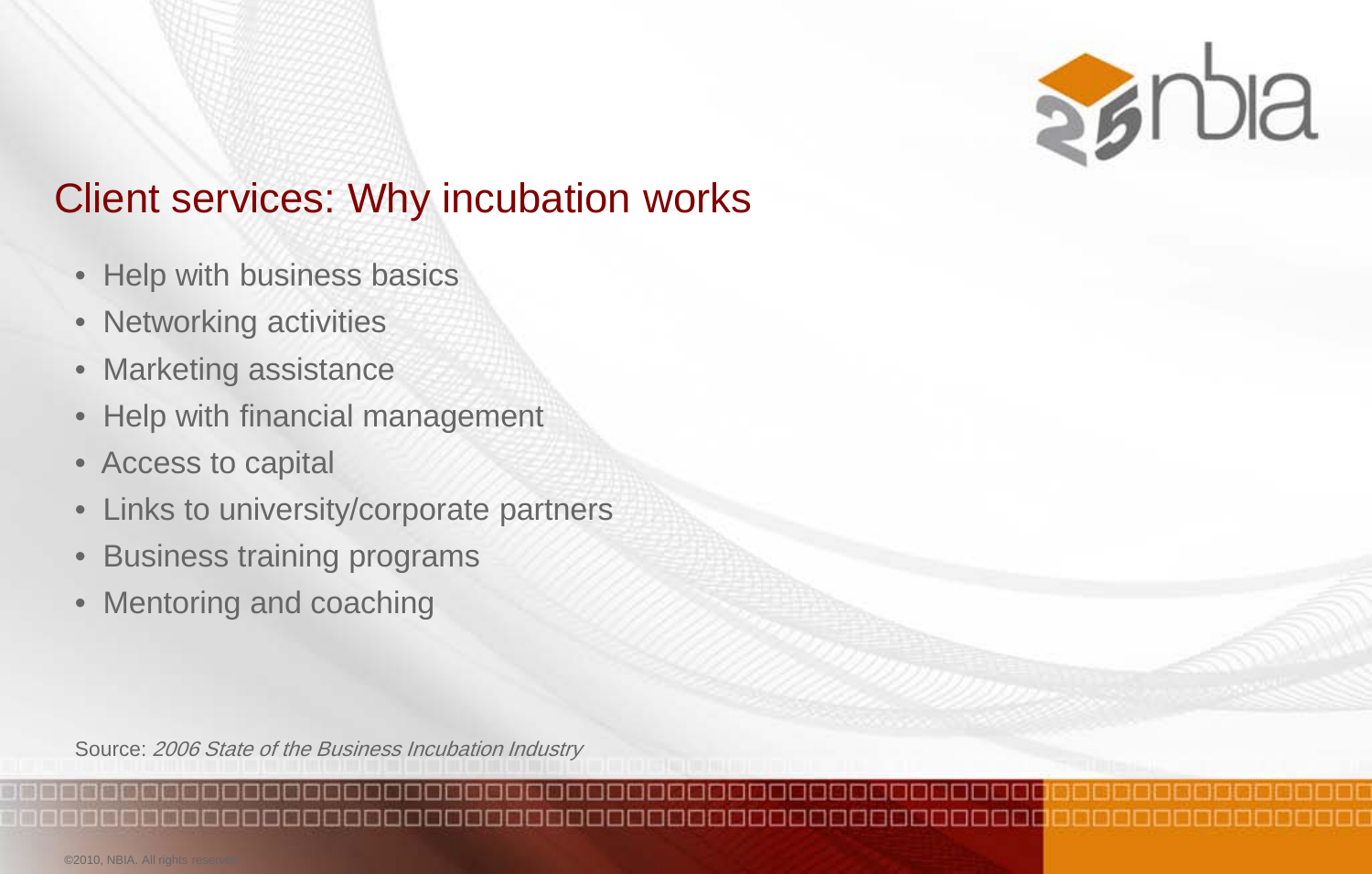

## Client services: Why incubation works

- Help with business basics
- Networking activities
- Marketing assistance
- Help with financial management
- Access to capital
- Links to university/corporate partners
- Business training programs
- Mentoring and coaching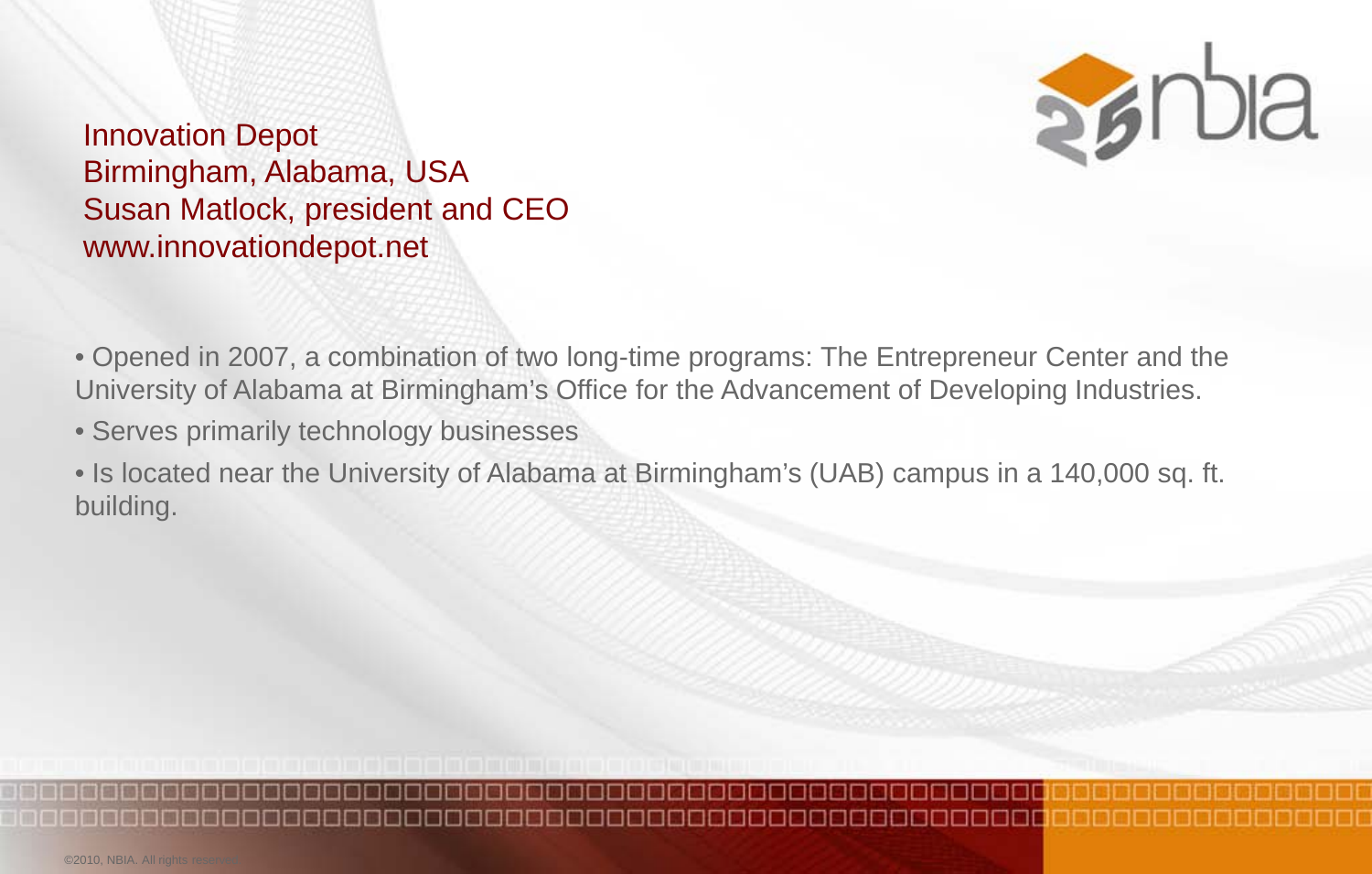

Innovation Depot Birmingham, Alabama, USA Susan Matlock, president and CEO www.innovationdepot.net

• Opened in 2007, a combination of two long-time programs: The Entrepreneur Center and the University of Alabama at Birmingham's Office for the Advancement of Developing Industries.

• Serves primarily technology businesses

• Is located near the University of Alabama at Birmingham's (UAB) campus in a 140,000 sq. ft. building.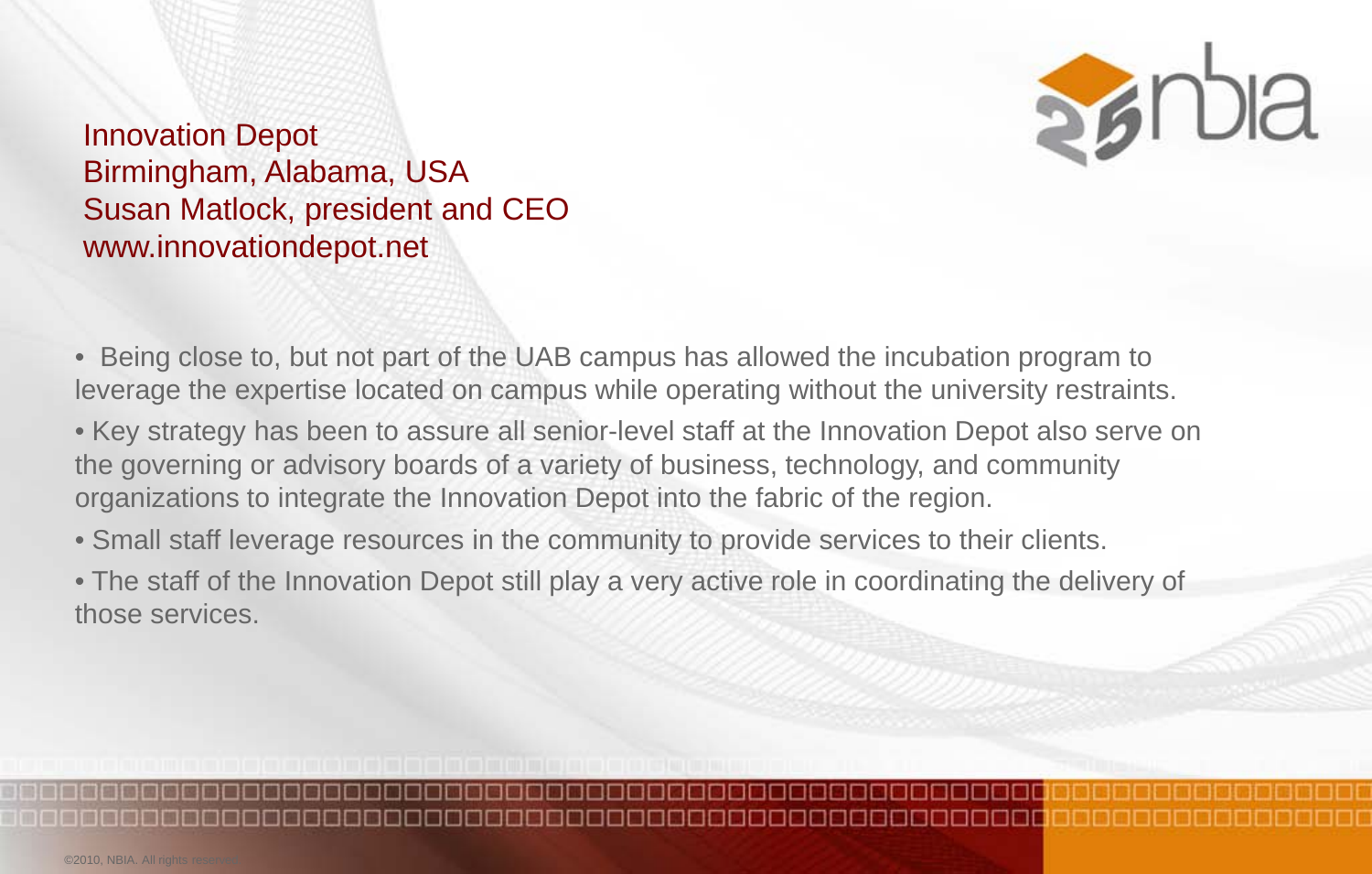

Innovation Depot Birmingham, Alabama, USA Susan Matlock, president and CEO www.innovationdepot.net

• Being close to, but not part of the UAB campus has allowed the incubation program to leverage the expertise located on campus while operating without the university restraints.

• Key strategy has been to assure all senior-level staff at the Innovation Depot also serve on the governing or advisory boards of a variety of business, technology, and community organizations to integrate the Innovation Depot into the fabric of the region.

• Small staff leverage resources in the community to provide services to their clients.

• The staff of the Innovation Depot still play a very active role in coordinating the delivery of those services.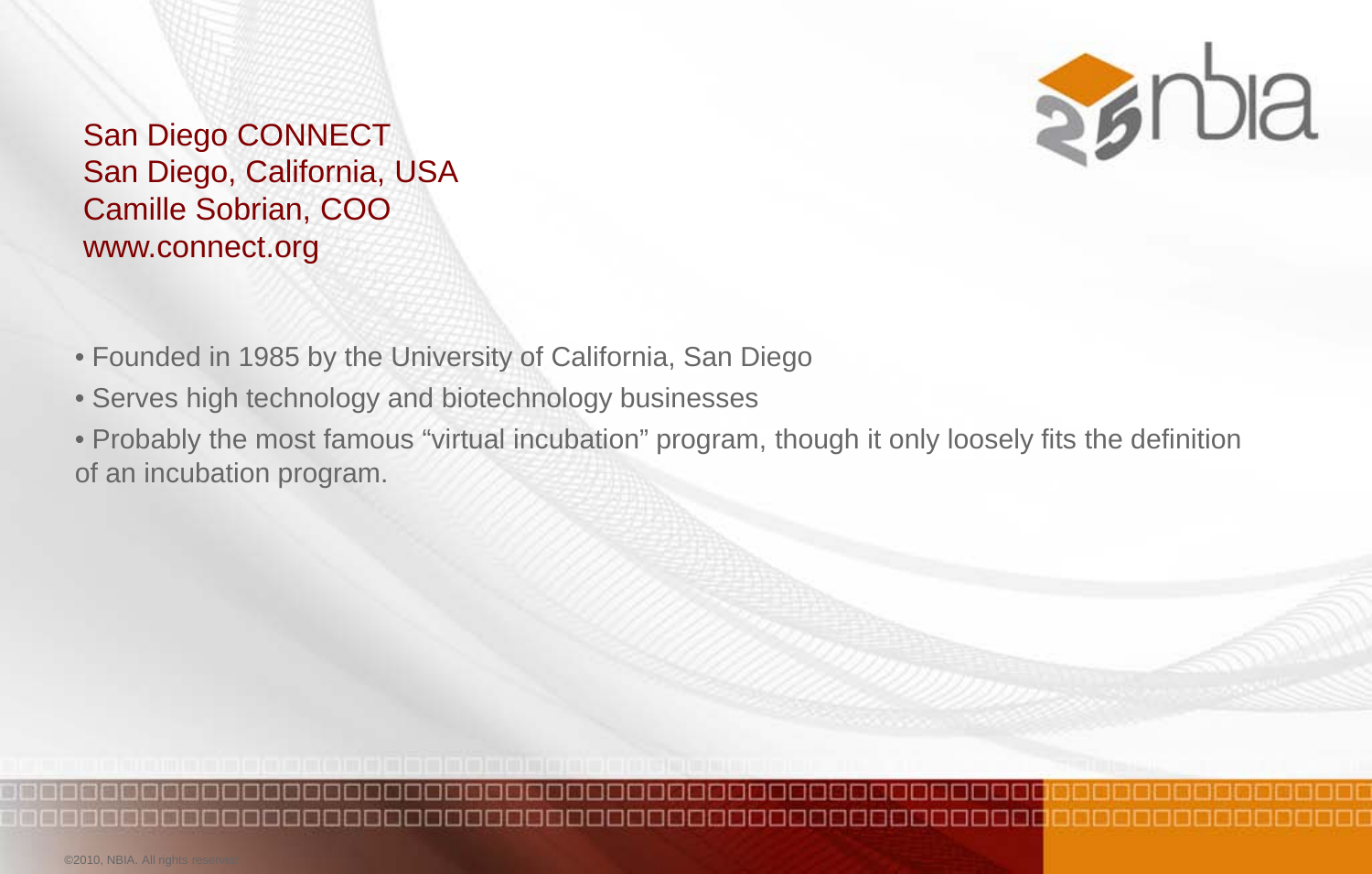San Diego CONNECT San Diego, California, USA Camille Sobrian, COO www.connect.org



- Founded in 1985 by the University of California, San Diego
- Serves high technology and biotechnology businesses
- Probably the most famous "virtual incubation" program, though it only loosely fits the definition of an incubation program.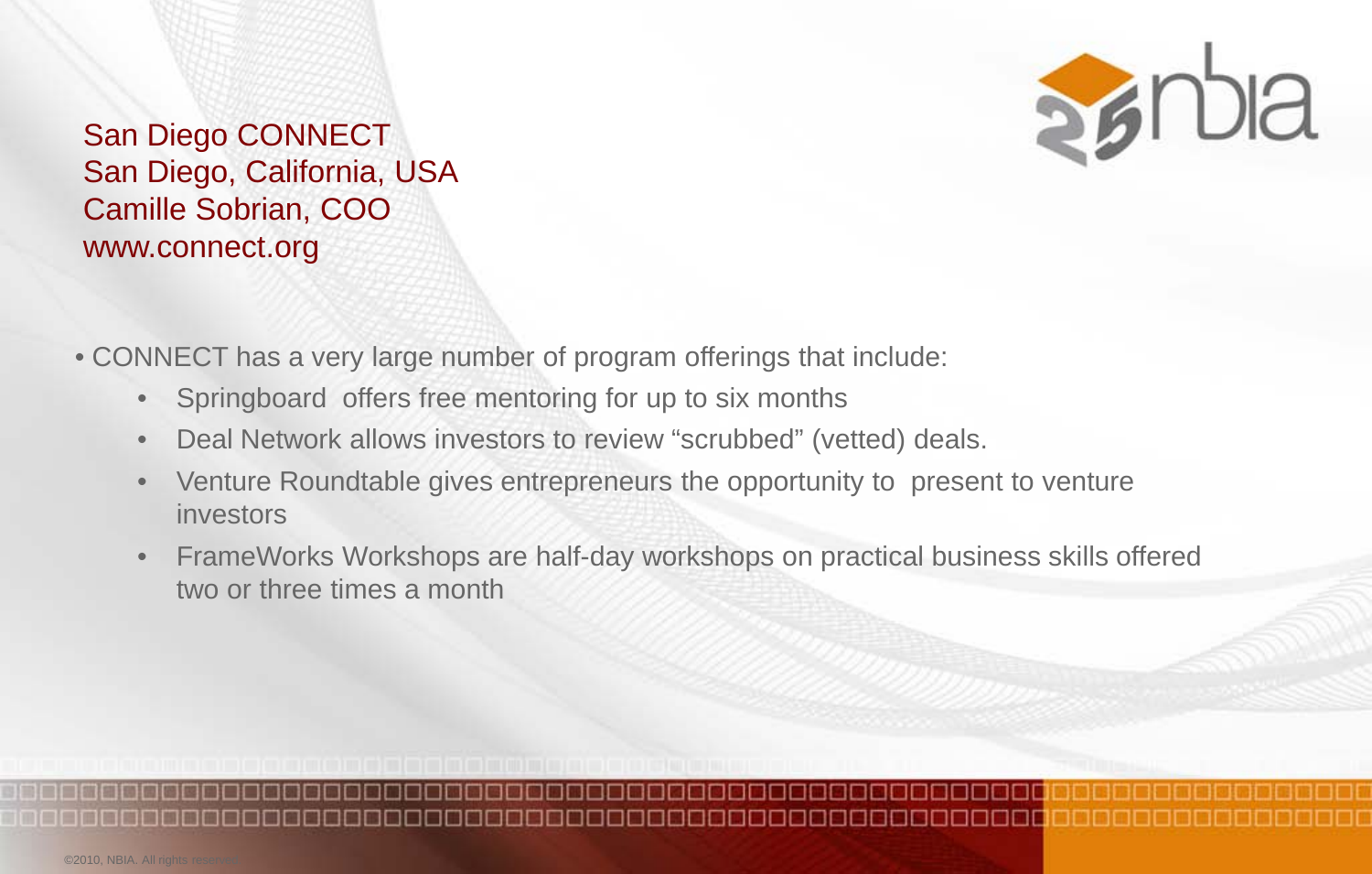

San Diego CONNECT San Diego, California, USA Camille Sobrian, COO www.connect.org

• CONNECT has a very large number of program offerings that include:

- Springboard offers free mentoring for up to six months
- Deal Network allows investors to review "scrubbed" (vetted) deals.
- Venture Roundtable gives entrepreneurs the opportunity to present to venture investors
- FrameWorks Workshops are half-day workshops on practical business skills offered two or three times a month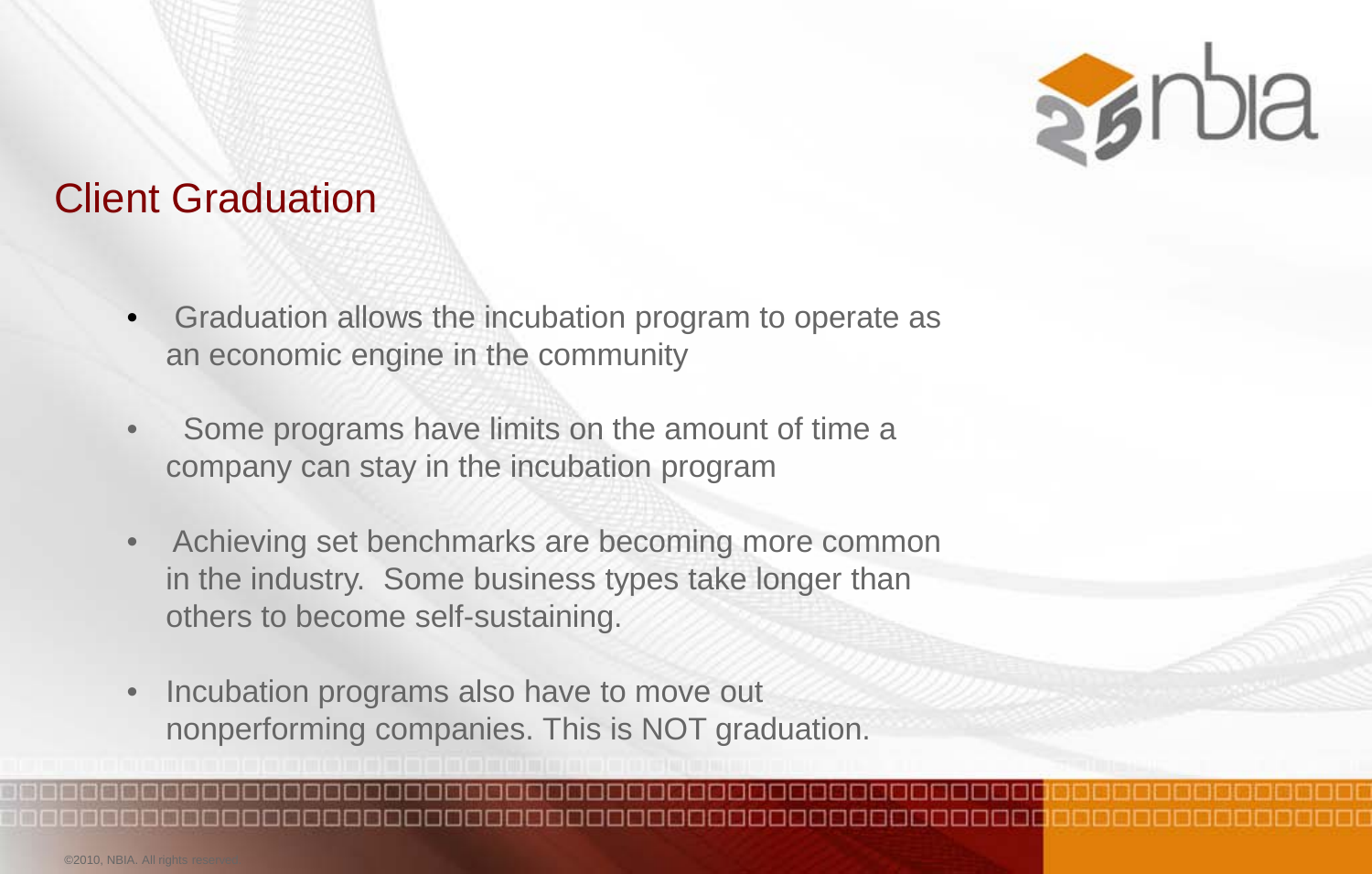

#### Client Graduation

- Graduation allows the incubation program to operate as an economic engine in the community
- Some programs have limits on the amount of time a company can stay in the incubation program
- Achieving set benchmarks are becoming more common in the industry. Some business types take longer than others to become self-sustaining.
- Incubation programs also have to move out nonperforming companies. This is NOT graduation.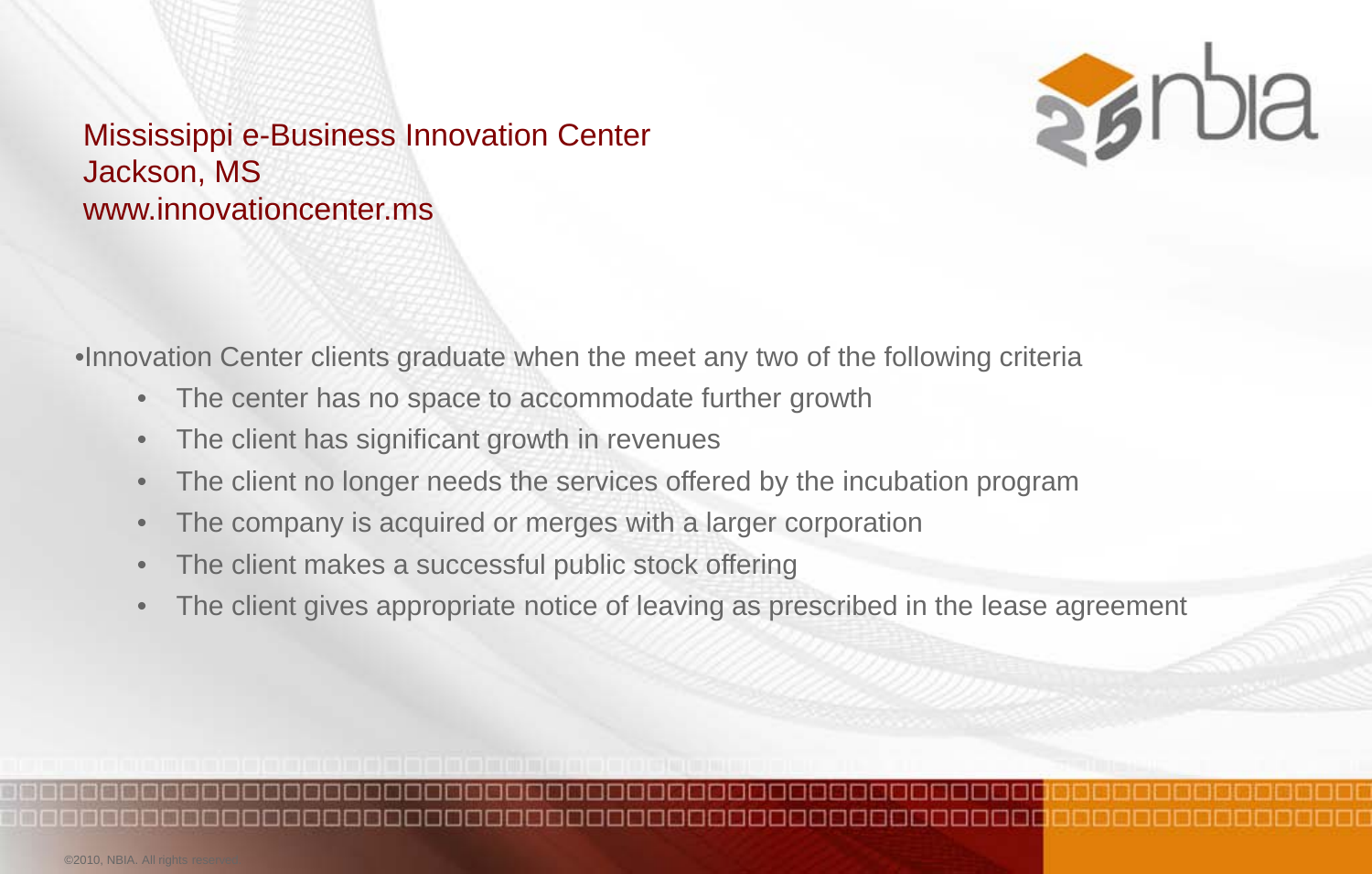

#### Mississippi e-Business Innovation Center Jackson, MS www.innovationcenter.ms

•Innovation Center clients graduate when the meet any two of the following criteria

- The center has no space to accommodate further growth
- The client has significant growth in revenues
- The client no longer needs the services offered by the incubation program
- The company is acquired or merges with a larger corporation
- The client makes a successful public stock offering
- The client gives appropriate notice of leaving as prescribed in the lease agreement